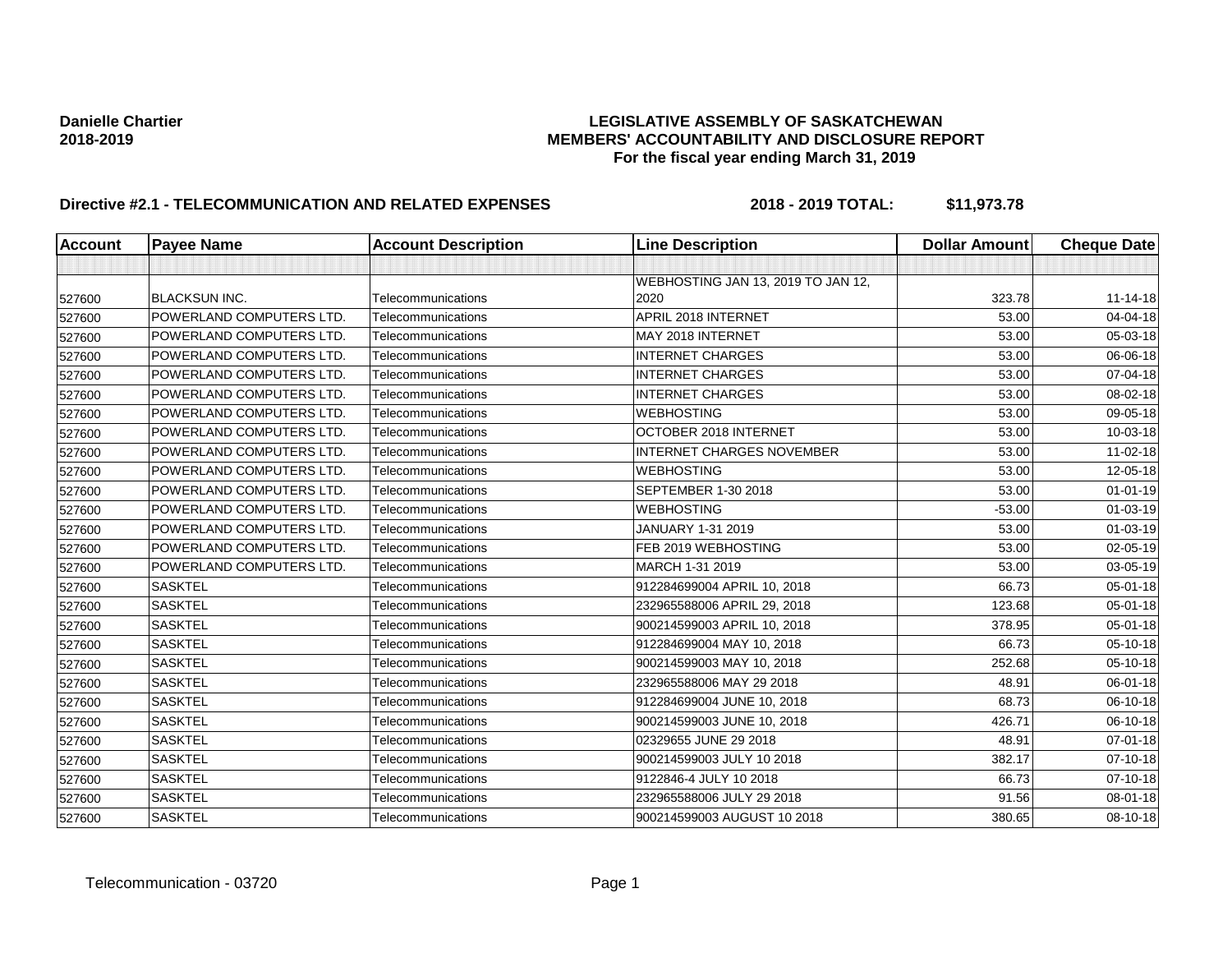| Account | <b>Payee Name</b>               | <b>Account Description</b> | <b>Line Description</b>            | <b>Dollar Amount</b> | <b>Cheque Date</b> |
|---------|---------------------------------|----------------------------|------------------------------------|----------------------|--------------------|
|         |                                 |                            |                                    |                      |                    |
|         |                                 |                            | WEBHOSTING JAN 13, 2019 TO JAN 12, |                      |                    |
| 527600  | BLACKSUN INC.                   | Telecommunications         | 2020                               | 323.78               | 11-14-18           |
| 527600  | POWERLAND COMPUTERS LTD.        | Telecommunications         | APRIL 2018 INTERNET                | 53.00                | 04-04-18           |
| 527600  | POWERLAND COMPUTERS LTD.        | Telecommunications         | MAY 2018 INTERNET                  | 53.00                | 05-03-18           |
| 527600  | POWERLAND COMPUTERS LTD.        | Telecommunications         | <b>INTERNET CHARGES</b>            | 53.00                | 06-06-18           |
| 527600  | POWERLAND COMPUTERS LTD.        | Telecommunications         | <b>INTERNET CHARGES</b>            | 53.00                | 07-04-18           |
| 527600  | POWERLAND COMPUTERS LTD.        | Telecommunications         | <b>INTERNET CHARGES</b>            | 53.00                | 08-02-18           |
| 527600  | <b>POWERLAND COMPUTERS LTD.</b> | Telecommunications         | <b>WEBHOSTING</b>                  | 53.00                | 09-05-18           |
| 527600  | POWERLAND COMPUTERS LTD.        | Telecommunications         | OCTOBER 2018 INTERNET              | 53.00                | 10-03-18           |
| 527600  | POWERLAND COMPUTERS LTD.        | Telecommunications         | <b>INTERNET CHARGES NOVEMBER</b>   | 53.00                | 11-02-18           |
| 527600  | POWERLAND COMPUTERS LTD.        | Telecommunications         | <b>WEBHOSTING</b>                  | 53.00                | 12-05-18           |
| 527600  | POWERLAND COMPUTERS LTD.        | Telecommunications         | SEPTEMBER 1-30 2018                | 53.00                | $01 - 01 - 19$     |
| 527600  | POWERLAND COMPUTERS LTD.        | Telecommunications         | <b>WEBHOSTING</b>                  | $-53.00$             | $01 - 03 - 19$     |
| 527600  | POWERLAND COMPUTERS LTD.        | Telecommunications         | JANUARY 1-31 2019                  | 53.00                | 01-03-19           |
| 527600  | POWERLAND COMPUTERS LTD.        | Telecommunications         | FEB 2019 WEBHOSTING                | 53.00                | 02-05-19           |
| 527600  | POWERLAND COMPUTERS LTD.        | Telecommunications         | MARCH 1-31 2019                    | 53.00                | 03-05-19           |
| 527600  | <b>SASKTEL</b>                  | Telecommunications         | 912284699004 APRIL 10, 2018        | 66.73                | 05-01-18           |
| 527600  | <b>SASKTEL</b>                  | Telecommunications         | 232965588006 APRIL 29, 2018        | 123.68               | 05-01-18           |
| 527600  | <b>SASKTEL</b>                  | Telecommunications         | 900214599003 APRIL 10, 2018        | 378.95               | 05-01-18           |
| 527600  | <b>SASKTEL</b>                  | Telecommunications         | 912284699004 MAY 10, 2018          | 66.73                | 05-10-18           |
| 527600  | <b>SASKTEL</b>                  | Telecommunications         | 900214599003 MAY 10, 2018          | 252.68               | 05-10-18           |
| 527600  | <b>SASKTEL</b>                  | Telecommunications         | 232965588006 MAY 29 2018           | 48.91                | 06-01-18           |
| 527600  | <b>SASKTEL</b>                  | Telecommunications         | 912284699004 JUNE 10, 2018         | 68.73                | 06-10-18           |
| 527600  | <b>SASKTEL</b>                  | Telecommunications         | 900214599003 JUNE 10, 2018         | 426.71               | 06-10-18           |
| 527600  | <b>SASKTEL</b>                  | Telecommunications         | 02329655 JUNE 29 2018              | 48.91                | 07-01-18           |
| 527600  | <b>SASKTEL</b>                  | Telecommunications         | 900214599003 JULY 10 2018          | 382.17               | 07-10-18           |
| 527600  | <b>SASKTEL</b>                  | Telecommunications         | 9122846-4 JULY 10 2018             | 66.73                | $07 - 10 - 18$     |
| 527600  | <b>SASKTEL</b>                  | Telecommunications         | 232965588006 JULY 29 2018          | 91.56                | 08-01-18           |
| 527600  | <b>SASKTEL</b>                  | Telecommunications         | 900214599003 AUGUST 10 2018        | 380.65               | 08-10-18           |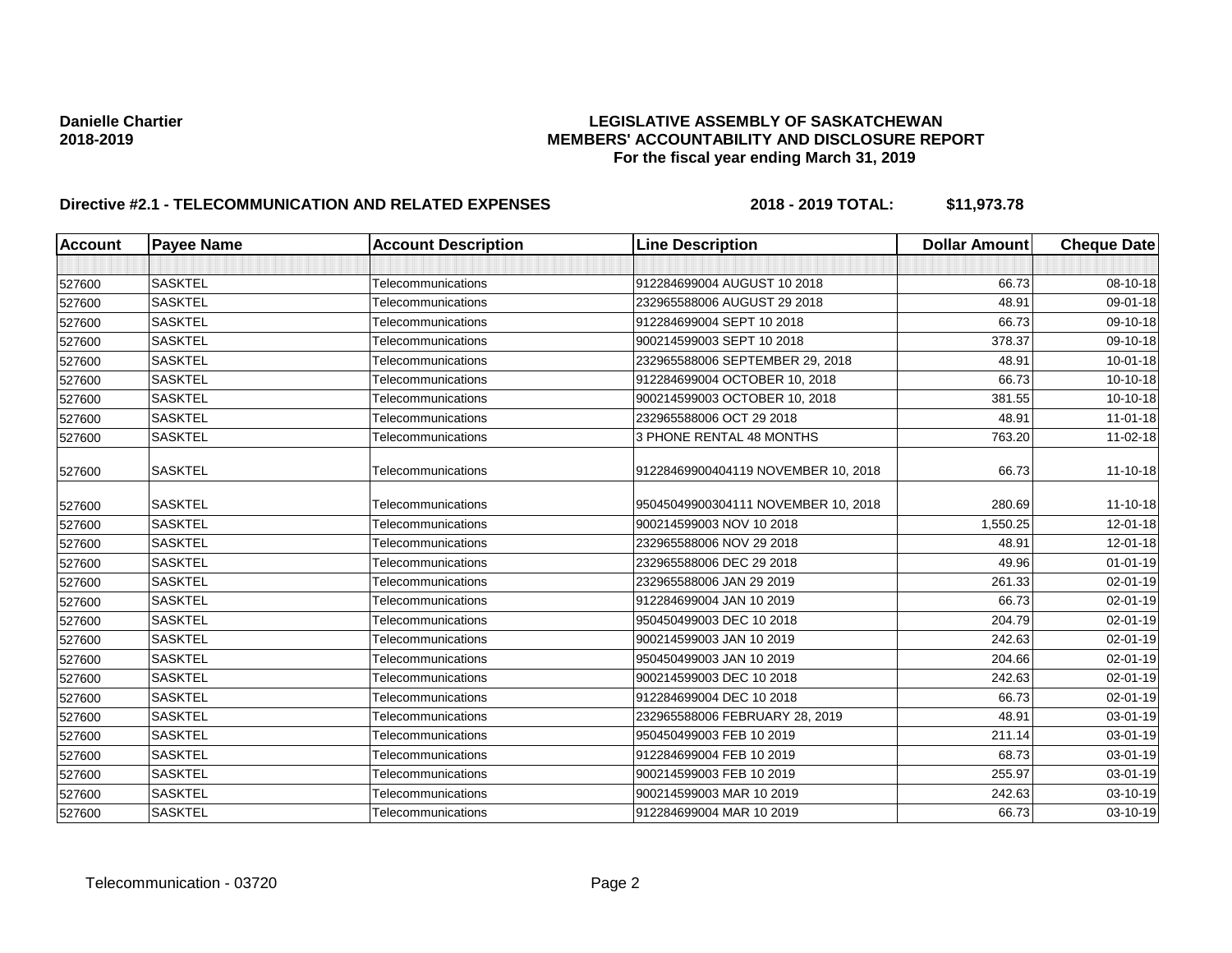| <b>Account</b> | <b>Payee Name</b> | <b>Account Description</b> | <b>Line Description</b>             | <b>Dollar Amount</b> | <b>Cheque Date</b> |
|----------------|-------------------|----------------------------|-------------------------------------|----------------------|--------------------|
|                |                   |                            |                                     |                      |                    |
| 527600         | <b>SASKTEL</b>    | Telecommunications         | 912284699004 AUGUST 10 2018         | 66.73                | 08-10-18           |
| 527600         | <b>SASKTEL</b>    | Telecommunications         | 232965588006 AUGUST 29 2018         | 48.91                | 09-01-18           |
| 527600         | <b>SASKTEL</b>    | Telecommunications         | 912284699004 SEPT 10 2018           | 66.73                | 09-10-18           |
| 527600         | <b>SASKTEL</b>    | Telecommunications         | 900214599003 SEPT 10 2018           | 378.37               | 09-10-18           |
| 527600         | <b>SASKTEL</b>    | Telecommunications         | 232965588006 SEPTEMBER 29, 2018     | 48.91                | $10 - 01 - 18$     |
| 527600         | <b>SASKTEL</b>    | Telecommunications         | 912284699004 OCTOBER 10, 2018       | 66.73                | 10-10-18           |
| 527600         | <b>SASKTEL</b>    | Telecommunications         | 900214599003 OCTOBER 10, 2018       | 381.55               | 10-10-18           |
| 527600         | <b>SASKTEL</b>    | Telecommunications         | 232965588006 OCT 29 2018            | 48.91                | $11 - 01 - 18$     |
| 527600         | <b>SASKTEL</b>    | Telecommunications         | 3 PHONE RENTAL 48 MONTHS            | 763.20               | 11-02-18           |
| 527600         | <b>SASKTEL</b>    | Telecommunications         | 91228469900404119 NOVEMBER 10, 2018 | 66.73                | 11-10-18           |
| 527600         | <b>SASKTEL</b>    | Telecommunications         | 95045049900304111 NOVEMBER 10, 2018 | 280.69               | 11-10-18           |
| 527600         | <b>SASKTEL</b>    | Telecommunications         | 900214599003 NOV 10 2018            | 1,550.25             | 12-01-18           |
| 527600         | <b>SASKTEL</b>    | Telecommunications         | 232965588006 NOV 29 2018            | 48.91                | 12-01-18           |
| 527600         | <b>SASKTEL</b>    | Telecommunications         | 232965588006 DEC 29 2018            | 49.96                | $01 - 01 - 19$     |
| 527600         | <b>SASKTEL</b>    | Telecommunications         | 232965588006 JAN 29 2019            | 261.33               | 02-01-19           |
| 527600         | <b>SASKTEL</b>    | Telecommunications         | 912284699004 JAN 10 2019            | 66.73                | 02-01-19           |
| 527600         | <b>SASKTEL</b>    | Telecommunications         | 950450499003 DEC 10 2018            | 204.79               | 02-01-19           |
| 527600         | <b>SASKTEL</b>    | Telecommunications         | 900214599003 JAN 10 2019            | 242.63               | 02-01-19           |
| 527600         | <b>SASKTEL</b>    | Telecommunications         | 950450499003 JAN 10 2019            | 204.66               | 02-01-19           |
| 527600         | <b>SASKTEL</b>    | Telecommunications         | 900214599003 DEC 10 2018            | 242.63               | 02-01-19           |
| 527600         | <b>SASKTEL</b>    | Telecommunications         | 912284699004 DEC 10 2018            | 66.73                | 02-01-19           |
| 527600         | <b>SASKTEL</b>    | Telecommunications         | 232965588006 FEBRUARY 28, 2019      | 48.91                | 03-01-19           |
| 527600         | <b>SASKTEL</b>    | Telecommunications         | 950450499003 FEB 10 2019            | 211.14               | 03-01-19           |
| 527600         | <b>SASKTEL</b>    | Telecommunications         | 912284699004 FEB 10 2019            | 68.73                | 03-01-19           |
| 527600         | <b>SASKTEL</b>    | Telecommunications         | 900214599003 FEB 10 2019            | 255.97               | 03-01-19           |
| 527600         | <b>SASKTEL</b>    | Telecommunications         | 900214599003 MAR 10 2019            | 242.63               | 03-10-19           |
| 527600         | <b>SASKTEL</b>    | Telecommunications         | 912284699004 MAR 10 2019            | 66.73                | 03-10-19           |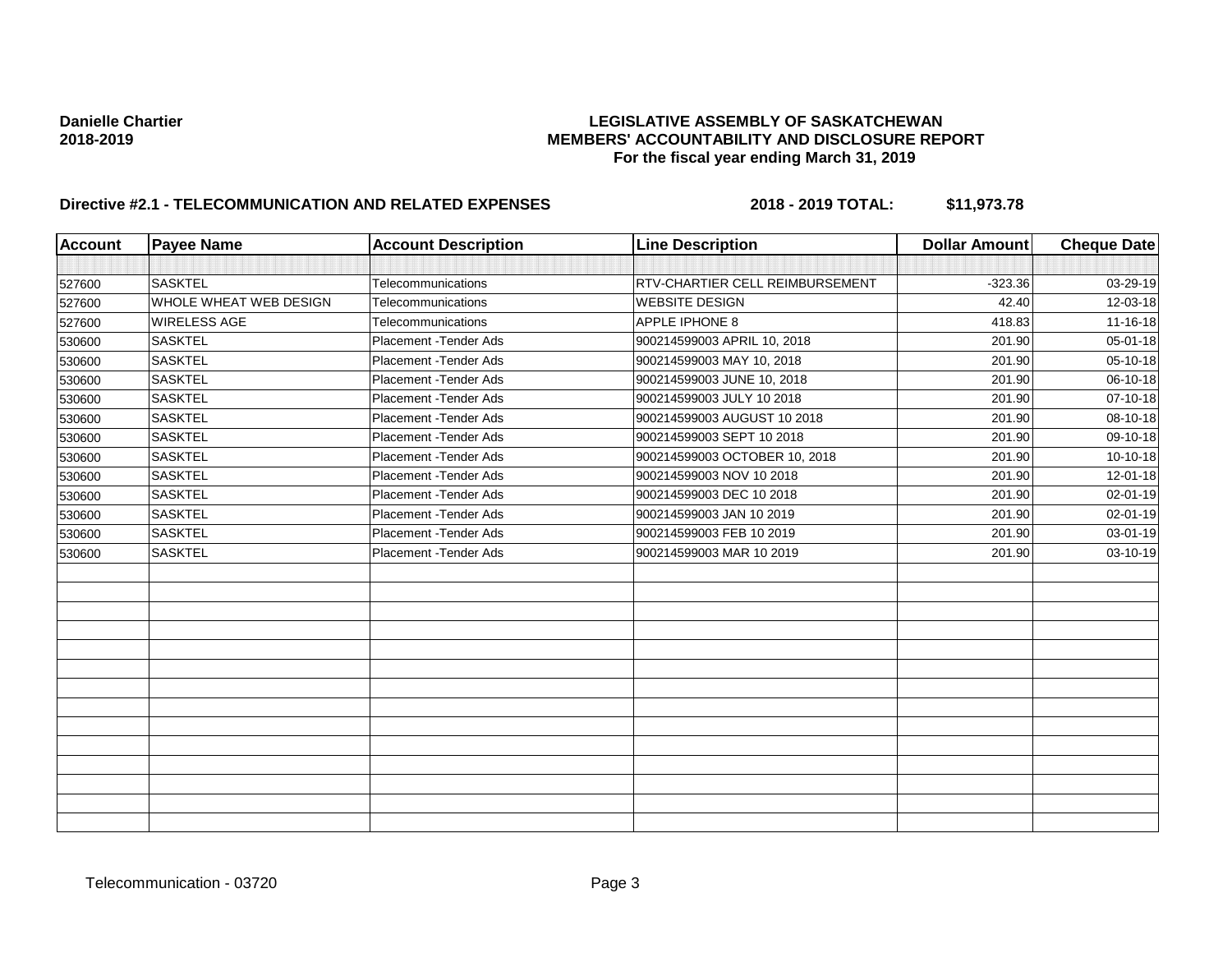| <b>Account</b> | <b>Payee Name</b>      | <b>Account Description</b> | <b>Line Description</b>         | <b>Dollar Amount</b> | <b>Cheque Date</b> |
|----------------|------------------------|----------------------------|---------------------------------|----------------------|--------------------|
|                |                        |                            |                                 |                      |                    |
| 527600         | <b>SASKTEL</b>         | Telecommunications         | RTV-CHARTIER CELL REIMBURSEMENT | $-323.36$            | 03-29-19           |
| 527600         | WHOLE WHEAT WEB DESIGN | Telecommunications         | <b>WEBSITE DESIGN</b>           | 42.40                | 12-03-18           |
| 527600         | WIRELESS AGE           | Telecommunications         | APPLE IPHONE 8                  | 418.83               | 11-16-18           |
| 530600         | <b>SASKTEL</b>         | Placement - Tender Ads     | 900214599003 APRIL 10, 2018     | 201.90               | 05-01-18           |
| 530600         | <b>SASKTEL</b>         | Placement - Tender Ads     | 900214599003 MAY 10, 2018       | 201.90               | 05-10-18           |
| 530600         | <b>SASKTEL</b>         | Placement - Tender Ads     | 900214599003 JUNE 10, 2018      | 201.90               | 06-10-18           |
| 530600         | <b>SASKTEL</b>         | Placement - Tender Ads     | 900214599003 JULY 10 2018       | 201.90               | 07-10-18           |
| 530600         | <b>SASKTEL</b>         | Placement - Tender Ads     | 900214599003 AUGUST 10 2018     | 201.90               | 08-10-18           |
| 530600         | <b>SASKTEL</b>         | Placement - Tender Ads     | 900214599003 SEPT 10 2018       | 201.90               | 09-10-18           |
| 530600         | <b>SASKTEL</b>         | Placement - Tender Ads     | 900214599003 OCTOBER 10, 2018   | 201.90               | 10-10-18           |
| 530600         | <b>SASKTEL</b>         | Placement - Tender Ads     | 900214599003 NOV 10 2018        | 201.90               | 12-01-18           |
| 530600         | <b>SASKTEL</b>         | Placement - Tender Ads     | 900214599003 DEC 10 2018        | 201.90               | 02-01-19           |
| 530600         | <b>SASKTEL</b>         | Placement - Tender Ads     | 900214599003 JAN 10 2019        | 201.90               | 02-01-19           |
| 530600         | <b>SASKTEL</b>         | Placement - Tender Ads     | 900214599003 FEB 10 2019        | 201.90               | 03-01-19           |
| 530600         | <b>SASKTEL</b>         | Placement - Tender Ads     | 900214599003 MAR 10 2019        | 201.90               | 03-10-19           |
|                |                        |                            |                                 |                      |                    |
|                |                        |                            |                                 |                      |                    |
|                |                        |                            |                                 |                      |                    |
|                |                        |                            |                                 |                      |                    |
|                |                        |                            |                                 |                      |                    |
|                |                        |                            |                                 |                      |                    |
|                |                        |                            |                                 |                      |                    |
|                |                        |                            |                                 |                      |                    |
|                |                        |                            |                                 |                      |                    |
|                |                        |                            |                                 |                      |                    |
|                |                        |                            |                                 |                      |                    |
|                |                        |                            |                                 |                      |                    |
|                |                        |                            |                                 |                      |                    |
|                |                        |                            |                                 |                      |                    |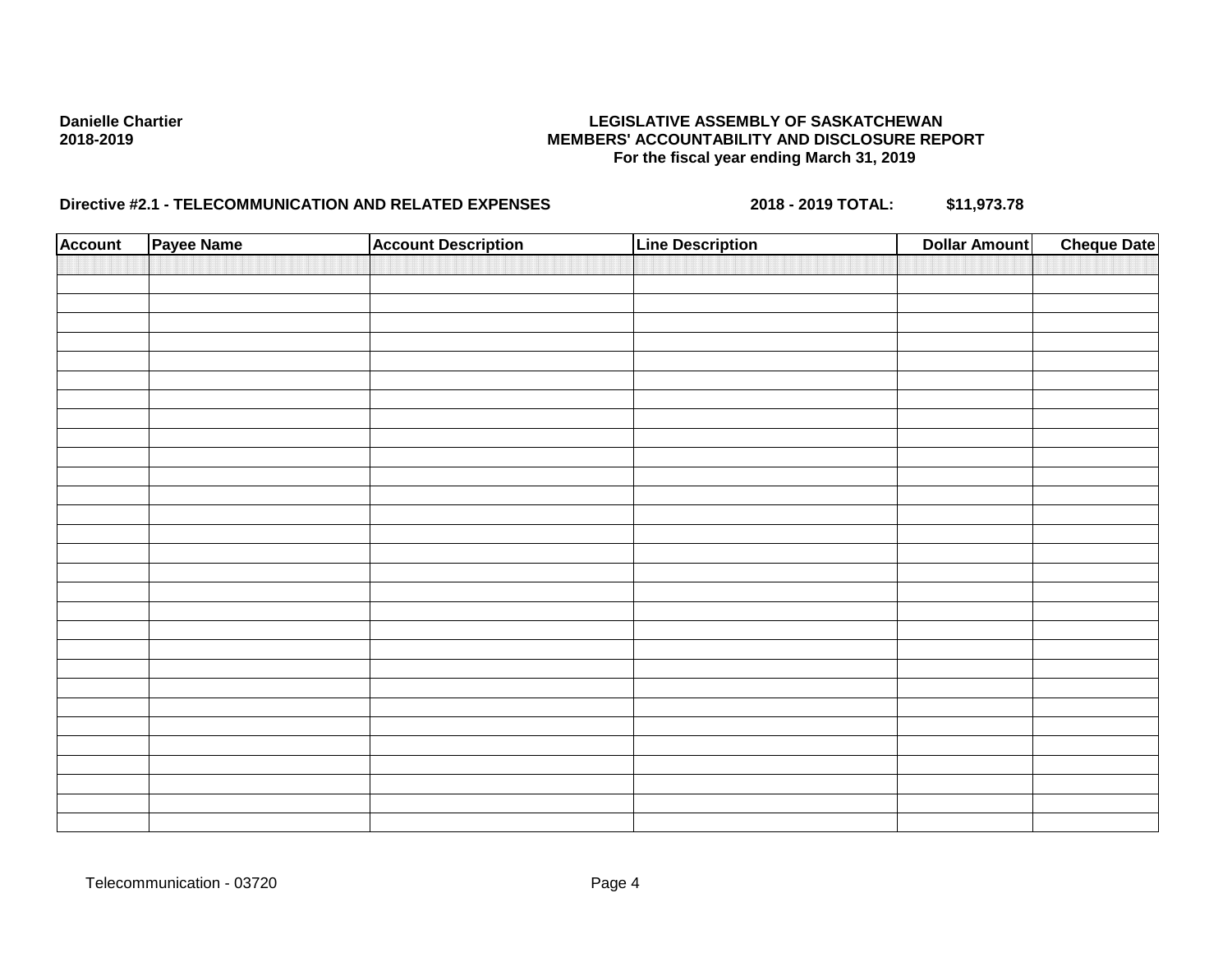| <b>Account</b> | Payee Name | <b>Account Description</b> | <b>Line Description</b> | <b>Dollar Amount</b> | <b>Cheque Date</b> |
|----------------|------------|----------------------------|-------------------------|----------------------|--------------------|
|                |            |                            |                         |                      |                    |
|                |            |                            |                         |                      |                    |
|                |            |                            |                         |                      |                    |
|                |            |                            |                         |                      |                    |
|                |            |                            |                         |                      |                    |
|                |            |                            |                         |                      |                    |
|                |            |                            |                         |                      |                    |
|                |            |                            |                         |                      |                    |
|                |            |                            |                         |                      |                    |
|                |            |                            |                         |                      |                    |
|                |            |                            |                         |                      |                    |
|                |            |                            |                         |                      |                    |
|                |            |                            |                         |                      |                    |
|                |            |                            |                         |                      |                    |
|                |            |                            |                         |                      |                    |
|                |            |                            |                         |                      |                    |
|                |            |                            |                         |                      |                    |
|                |            |                            |                         |                      |                    |
|                |            |                            |                         |                      |                    |
|                |            |                            |                         |                      |                    |
|                |            |                            |                         |                      |                    |
|                |            |                            |                         |                      |                    |
|                |            |                            |                         |                      |                    |
|                |            |                            |                         |                      |                    |
|                |            |                            |                         |                      |                    |
|                |            |                            |                         |                      |                    |
|                |            |                            |                         |                      |                    |
|                |            |                            |                         |                      |                    |
|                |            |                            |                         |                      |                    |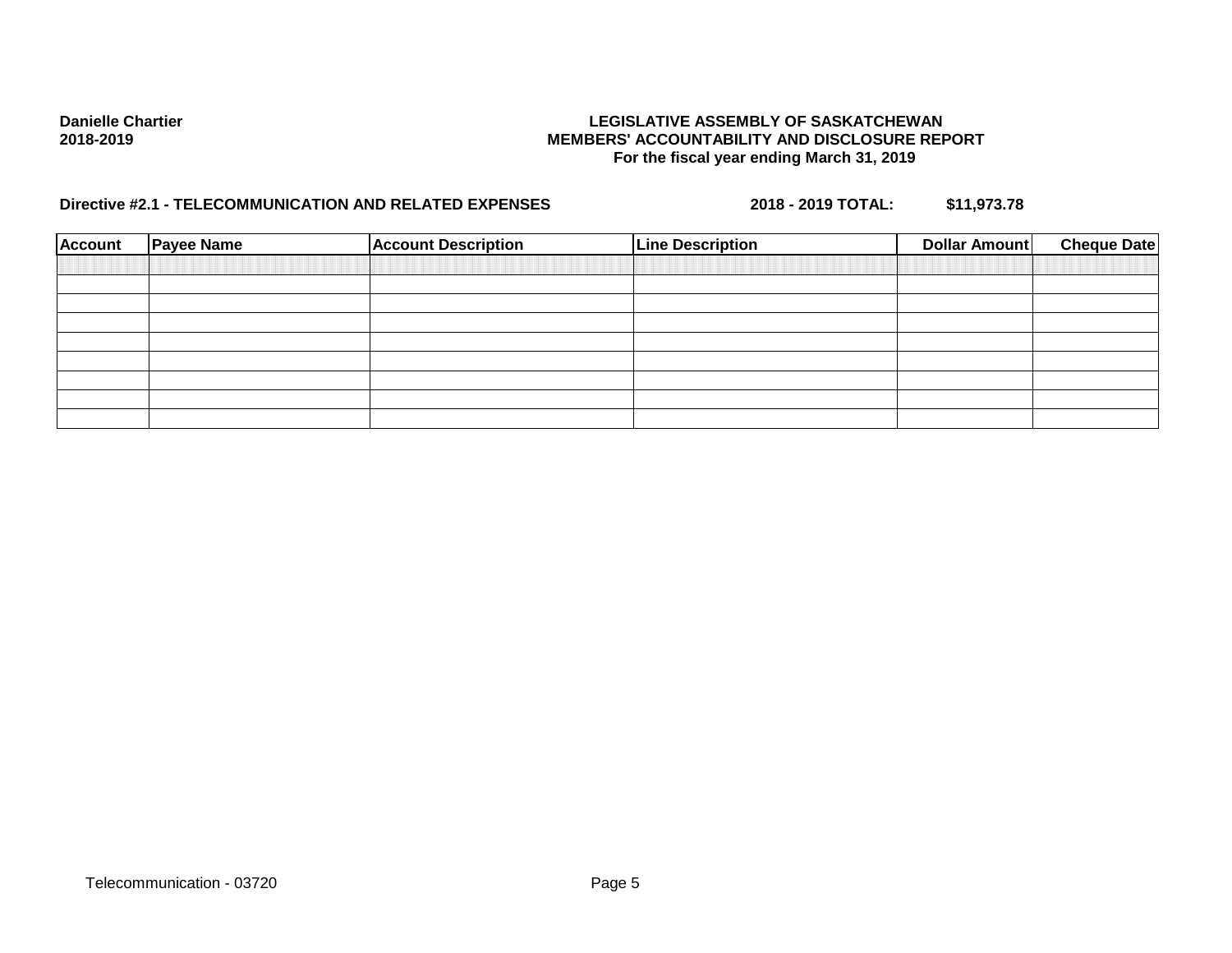| <b>Account</b> | <b>Payee Name</b> | <b>Account Description</b> | <b>Line Description</b> | <b>Dollar Amount</b> | <b>Cheque Date</b> |
|----------------|-------------------|----------------------------|-------------------------|----------------------|--------------------|
|                |                   |                            |                         |                      |                    |
|                |                   |                            |                         |                      |                    |
|                |                   |                            |                         |                      |                    |
|                |                   |                            |                         |                      |                    |
|                |                   |                            |                         |                      |                    |
|                |                   |                            |                         |                      |                    |
|                |                   |                            |                         |                      |                    |
|                |                   |                            |                         |                      |                    |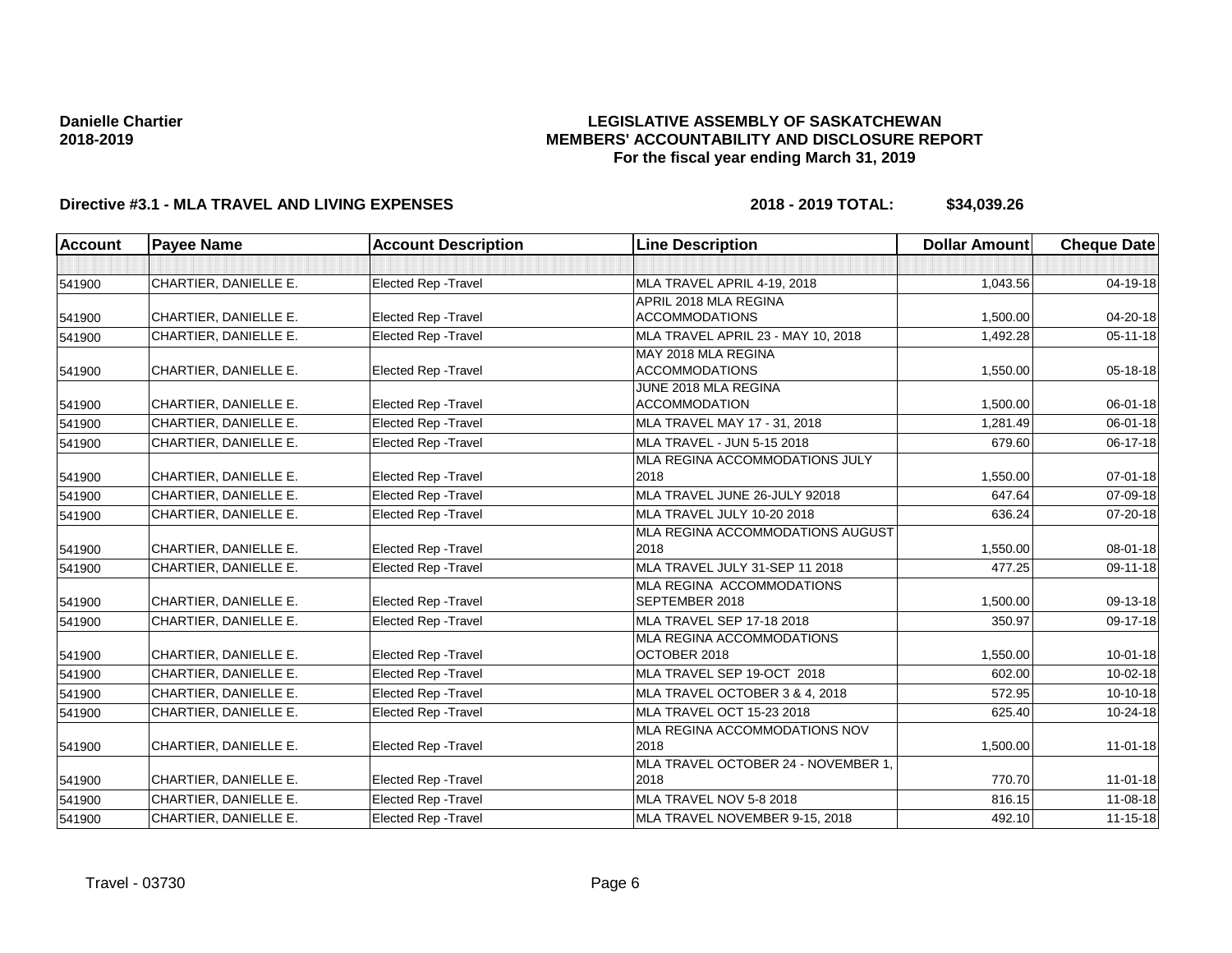## **LEGISLATIVE ASSEMBLY OF SASKATCHEWAN MEMBERS' ACCOUNTABILITY AND DISCLOSURE REPORT For the fiscal year ending March 31, 2019**

| <b>Account</b> | <b>Payee Name</b>     | <b>Account Description</b>  | <b>Line Description</b>             | <b>Dollar Amount</b> | <b>Cheque Date</b> |
|----------------|-----------------------|-----------------------------|-------------------------------------|----------------------|--------------------|
|                |                       |                             |                                     |                      |                    |
| 541900         | CHARTIER, DANIELLE E. | <b>Elected Rep - Travel</b> | MLA TRAVEL APRIL 4-19, 2018         | 1,043.56             | 04-19-18           |
|                |                       |                             | APRIL 2018 MLA REGINA               |                      |                    |
| 541900         | CHARTIER, DANIELLE E. | <b>Elected Rep - Travel</b> | <b>ACCOMMODATIONS</b>               | 1,500.00             | 04-20-18           |
| 541900         | CHARTIER, DANIELLE E. | <b>Elected Rep - Travel</b> | MLA TRAVEL APRIL 23 - MAY 10, 2018  | 1,492.28             | $05 - 11 - 18$     |
|                |                       |                             | MAY 2018 MLA REGINA                 |                      |                    |
| 541900         | CHARTIER, DANIELLE E. | <b>Elected Rep - Travel</b> | <b>ACCOMMODATIONS</b>               | 1,550.00             | $05 - 18 - 18$     |
|                |                       |                             | JUNE 2018 MLA REGINA                |                      |                    |
| 541900         | CHARTIER, DANIELLE E. | Elected Rep - Travel        | <b>ACCOMMODATION</b>                | 1,500.00             | 06-01-18           |
| 541900         | CHARTIER, DANIELLE E. | Elected Rep - Travel        | MLA TRAVEL MAY 17 - 31, 2018        | 1,281.49             | 06-01-18           |
| 541900         | CHARTIER, DANIELLE E. | <b>Elected Rep - Travel</b> | <b>MLA TRAVEL - JUN 5-15 2018</b>   | 679.60               | $06 - 17 - 18$     |
|                |                       |                             | MLA REGINA ACCOMMODATIONS JULY      |                      |                    |
| 541900         | CHARTIER, DANIELLE E. | <b>Elected Rep - Travel</b> | 2018                                | 1,550.00             | $07 - 01 - 18$     |
| 541900         | CHARTIER, DANIELLE E. | Elected Rep - Travel        | MLA TRAVEL JUNE 26-JULY 92018       | 647.64               | 07-09-18           |
| 541900         | CHARTIER, DANIELLE E. | <b>Elected Rep - Travel</b> | MLA TRAVEL JULY 10-20 2018          | 636.24               | 07-20-18           |
|                |                       |                             | MLA REGINA ACCOMMODATIONS AUGUST    |                      |                    |
| 541900         | CHARTIER, DANIELLE E. | <b>Elected Rep - Travel</b> | 2018                                | 1,550.00             | 08-01-18           |
| 541900         | CHARTIER, DANIELLE E. | <b>Elected Rep - Travel</b> | MLA TRAVEL JULY 31-SEP 11 2018      | 477.25               | 09-11-18           |
|                |                       |                             | MLA REGINA ACCOMMODATIONS           |                      |                    |
| 541900         | CHARTIER, DANIELLE E. | <b>Elected Rep - Travel</b> | SEPTEMBER 2018                      | 1,500.00             | 09-13-18           |
| 541900         | CHARTIER, DANIELLE E. | <b>Elected Rep - Travel</b> | <b>MLA TRAVEL SEP 17-18 2018</b>    | 350.97               | 09-17-18           |
|                |                       |                             | MLA REGINA ACCOMMODATIONS           |                      |                    |
| 541900         | CHARTIER, DANIELLE E. | <b>Elected Rep - Travel</b> | OCTOBER 2018                        | 1,550.00             | 10-01-18           |
| 541900         | CHARTIER, DANIELLE E. | <b>Elected Rep - Travel</b> | MLA TRAVEL SEP 19-OCT 2018          | 602.00               | $10 - 02 - 18$     |
| 541900         | CHARTIER, DANIELLE E. | <b>Elected Rep - Travel</b> | MLA TRAVEL OCTOBER 3 & 4, 2018      | 572.95               | $10-10-18$         |
| 541900         | CHARTIER, DANIELLE E. | <b>Elected Rep - Travel</b> | MLA TRAVEL OCT 15-23 2018           | 625.40               | 10-24-18           |
|                |                       |                             | MLA REGINA ACCOMMODATIONS NOV       |                      |                    |
| 541900         | CHARTIER, DANIELLE E. | <b>Elected Rep - Travel</b> | 2018                                | 1,500.00             | $11 - 01 - 18$     |
|                |                       |                             | MLA TRAVEL OCTOBER 24 - NOVEMBER 1, |                      |                    |
| 541900         | CHARTIER, DANIELLE E. | Elected Rep - Travel        | 2018                                | 770.70               | $11 - 01 - 18$     |
| 541900         | CHARTIER, DANIELLE E. | <b>Elected Rep - Travel</b> | MLA TRAVEL NOV 5-8 2018             | 816.15               | $11 - 08 - 18$     |
| 541900         | CHARTIER, DANIELLE E. | <b>Elected Rep - Travel</b> | MLA TRAVEL NOVEMBER 9-15, 2018      | 492.10               | $11 - 15 - 18$     |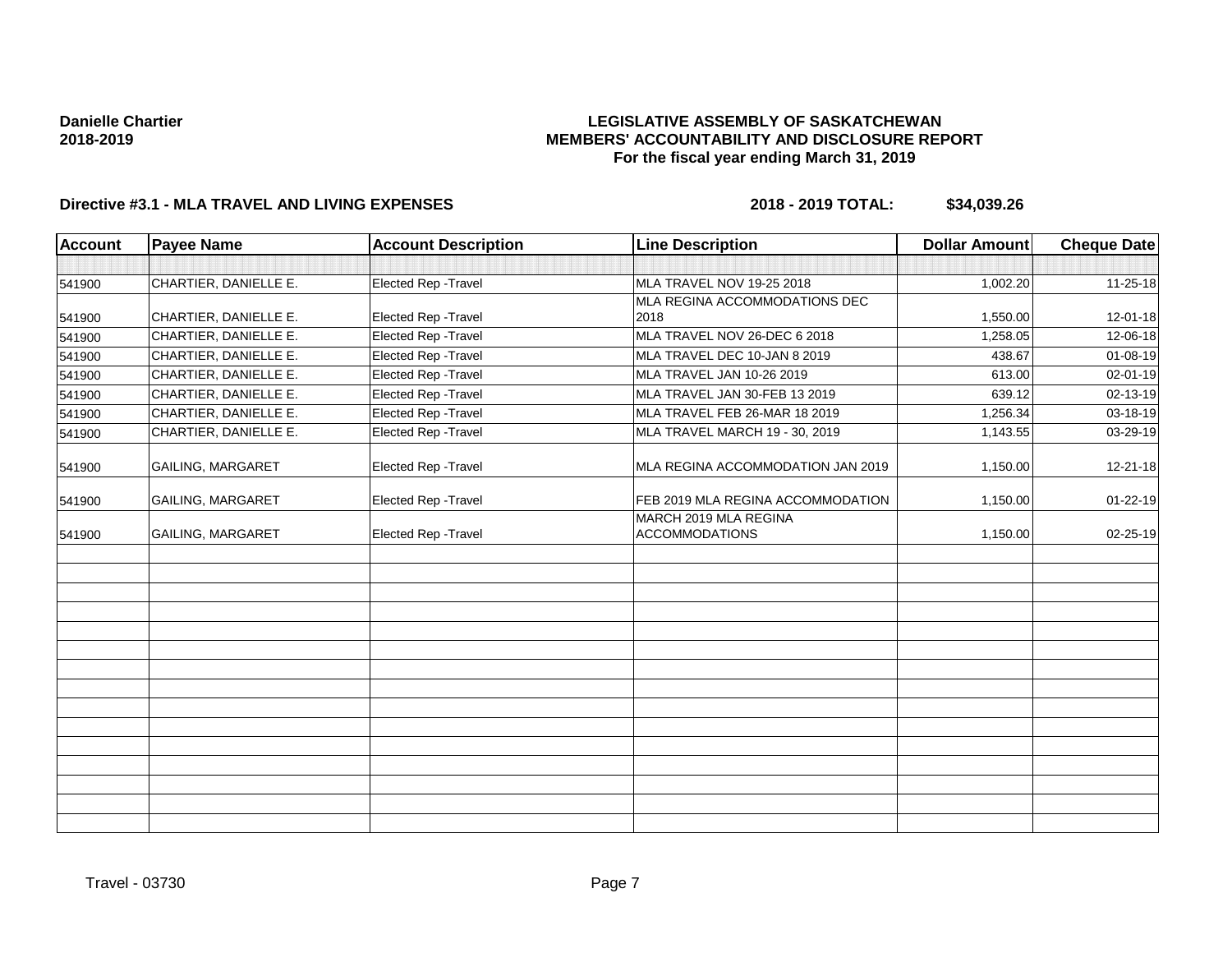## **LEGISLATIVE ASSEMBLY OF SASKATCHEWAN MEMBERS' ACCOUNTABILITY AND DISCLOSURE REPORT For the fiscal year ending March 31, 2019**

| <b>Account</b> | <b>Payee Name</b>        | <b>Account Description</b> | <b>Line Description</b>                        | <b>Dollar Amount</b> | <b>Cheque Date</b> |
|----------------|--------------------------|----------------------------|------------------------------------------------|----------------------|--------------------|
|                |                          |                            |                                                |                      |                    |
| 541900         | CHARTIER, DANIELLE E.    | Elected Rep - Travel       | MLA TRAVEL NOV 19-25 2018                      | 1,002.20             | $11 - 25 - 18$     |
|                |                          |                            | MLA REGINA ACCOMMODATIONS DEC                  |                      |                    |
| 541900         | CHARTIER, DANIELLE E.    | Elected Rep - Travel       | 2018                                           | 1,550.00             | 12-01-18           |
| 541900         | CHARTIER, DANIELLE E.    | Elected Rep - Travel       | MLA TRAVEL NOV 26-DEC 6 2018                   | 1,258.05             | 12-06-18           |
| 541900         | CHARTIER, DANIELLE E.    | Elected Rep - Travel       | MLA TRAVEL DEC 10-JAN 8 2019                   | 438.67               | 01-08-19           |
| 541900         | CHARTIER, DANIELLE E.    | Elected Rep - Travel       | MLA TRAVEL JAN 10-26 2019                      | 613.00               | 02-01-19           |
| 541900         | CHARTIER, DANIELLE E.    | Elected Rep - Travel       | MLA TRAVEL JAN 30-FEB 13 2019                  | 639.12               | 02-13-19           |
| 541900         | CHARTIER, DANIELLE E.    | Elected Rep - Travel       | MLA TRAVEL FEB 26-MAR 18 2019                  | 1,256.34             | 03-18-19           |
| 541900         | CHARTIER, DANIELLE E.    | Elected Rep - Travel       | MLA TRAVEL MARCH 19 - 30, 2019                 | 1,143.55             | 03-29-19           |
| 541900         | <b>GAILING, MARGARET</b> | Elected Rep - Travel       | MLA REGINA ACCOMMODATION JAN 2019              | 1,150.00             | 12-21-18           |
| 541900         | <b>GAILING, MARGARET</b> | Elected Rep - Travel       | FEB 2019 MLA REGINA ACCOMMODATION              | 1,150.00             | $01 - 22 - 19$     |
| 541900         | <b>GAILING, MARGARET</b> | Elected Rep - Travel       | MARCH 2019 MLA REGINA<br><b>ACCOMMODATIONS</b> | 1,150.00             | $02 - 25 - 19$     |
|                |                          |                            |                                                |                      |                    |
|                |                          |                            |                                                |                      |                    |
|                |                          |                            |                                                |                      |                    |
|                |                          |                            |                                                |                      |                    |
|                |                          |                            |                                                |                      |                    |
|                |                          |                            |                                                |                      |                    |
|                |                          |                            |                                                |                      |                    |
|                |                          |                            |                                                |                      |                    |
|                |                          |                            |                                                |                      |                    |
|                |                          |                            |                                                |                      |                    |
|                |                          |                            |                                                |                      |                    |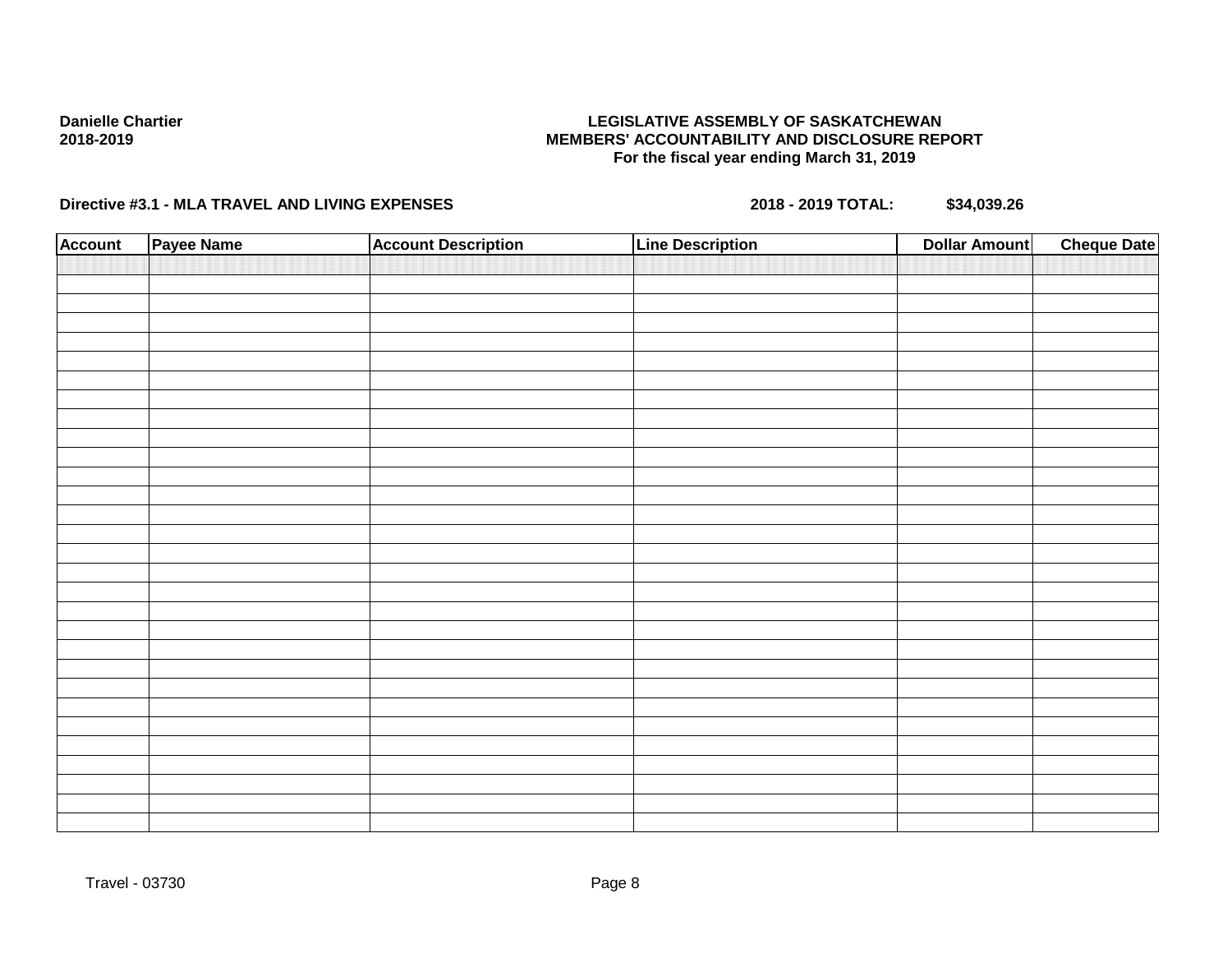## **LEGISLATIVE ASSEMBLY OF SASKATCHEWAN MEMBERS' ACCOUNTABILITY AND DISCLOSURE REPORT For the fiscal year ending March 31, 2019**

| <b>Account</b> | Payee Name | <b>Account Description</b> | <b>Line Description</b> | <b>Cheque Date</b><br><b>Dollar Amount</b> |
|----------------|------------|----------------------------|-------------------------|--------------------------------------------|
|                |            |                            |                         |                                            |
|                |            |                            |                         |                                            |
|                |            |                            |                         |                                            |
|                |            |                            |                         |                                            |
|                |            |                            |                         |                                            |
|                |            |                            |                         |                                            |
|                |            |                            |                         |                                            |
|                |            |                            |                         |                                            |
|                |            |                            |                         |                                            |
|                |            |                            |                         |                                            |
|                |            |                            |                         |                                            |
|                |            |                            |                         |                                            |
|                |            |                            |                         |                                            |
|                |            |                            |                         |                                            |
|                |            |                            |                         |                                            |
|                |            |                            |                         |                                            |
|                |            |                            |                         |                                            |
|                |            |                            |                         |                                            |
|                |            |                            |                         |                                            |
|                |            |                            |                         |                                            |
|                |            |                            |                         |                                            |
|                |            |                            |                         |                                            |
|                |            |                            |                         |                                            |
|                |            |                            |                         |                                            |
|                |            |                            |                         |                                            |
|                |            |                            |                         |                                            |
|                |            |                            |                         |                                            |
|                |            |                            |                         |                                            |
|                |            |                            |                         |                                            |
|                |            |                            |                         |                                            |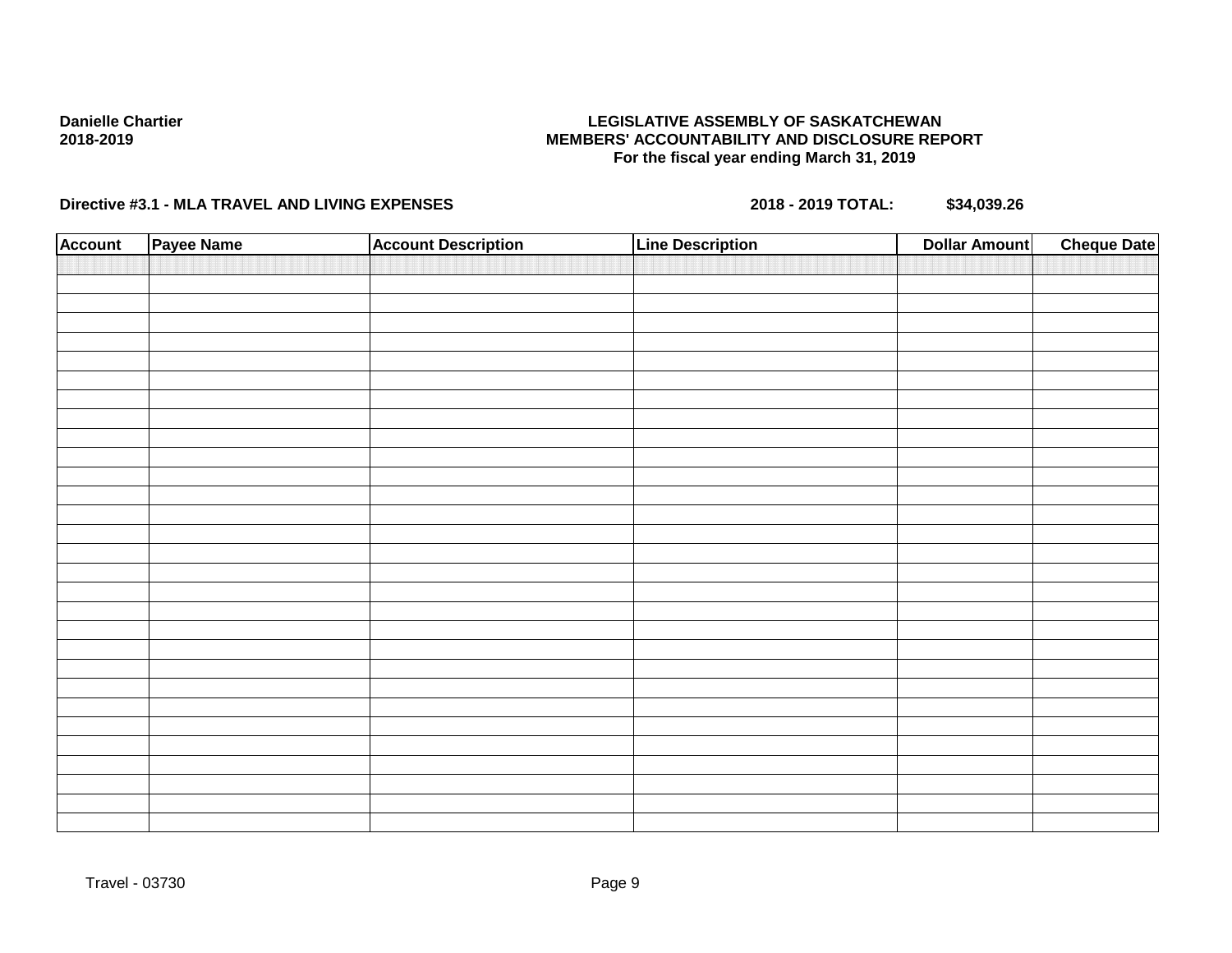## **LEGISLATIVE ASSEMBLY OF SASKATCHEWAN MEMBERS' ACCOUNTABILITY AND DISCLOSURE REPORT For the fiscal year ending March 31, 2019**

| <b>Account</b> | Payee Name | <b>Account Description</b> | <b>Line Description</b> | <b>Dollar Amount</b> | <b>Cheque Date</b> |
|----------------|------------|----------------------------|-------------------------|----------------------|--------------------|
|                |            |                            |                         |                      |                    |
|                |            |                            |                         |                      |                    |
|                |            |                            |                         |                      |                    |
|                |            |                            |                         |                      |                    |
|                |            |                            |                         |                      |                    |
|                |            |                            |                         |                      |                    |
|                |            |                            |                         |                      |                    |
|                |            |                            |                         |                      |                    |
|                |            |                            |                         |                      |                    |
|                |            |                            |                         |                      |                    |
|                |            |                            |                         |                      |                    |
|                |            |                            |                         |                      |                    |
|                |            |                            |                         |                      |                    |
|                |            |                            |                         |                      |                    |
|                |            |                            |                         |                      |                    |
|                |            |                            |                         |                      |                    |
|                |            |                            |                         |                      |                    |
|                |            |                            |                         |                      |                    |
|                |            |                            |                         |                      |                    |
|                |            |                            |                         |                      |                    |
|                |            |                            |                         |                      |                    |
|                |            |                            |                         |                      |                    |
|                |            |                            |                         |                      |                    |
|                |            |                            |                         |                      |                    |
|                |            |                            |                         |                      |                    |
|                |            |                            |                         |                      |                    |
|                |            |                            |                         |                      |                    |
|                |            |                            |                         |                      |                    |
|                |            |                            |                         |                      |                    |
|                |            |                            |                         |                      |                    |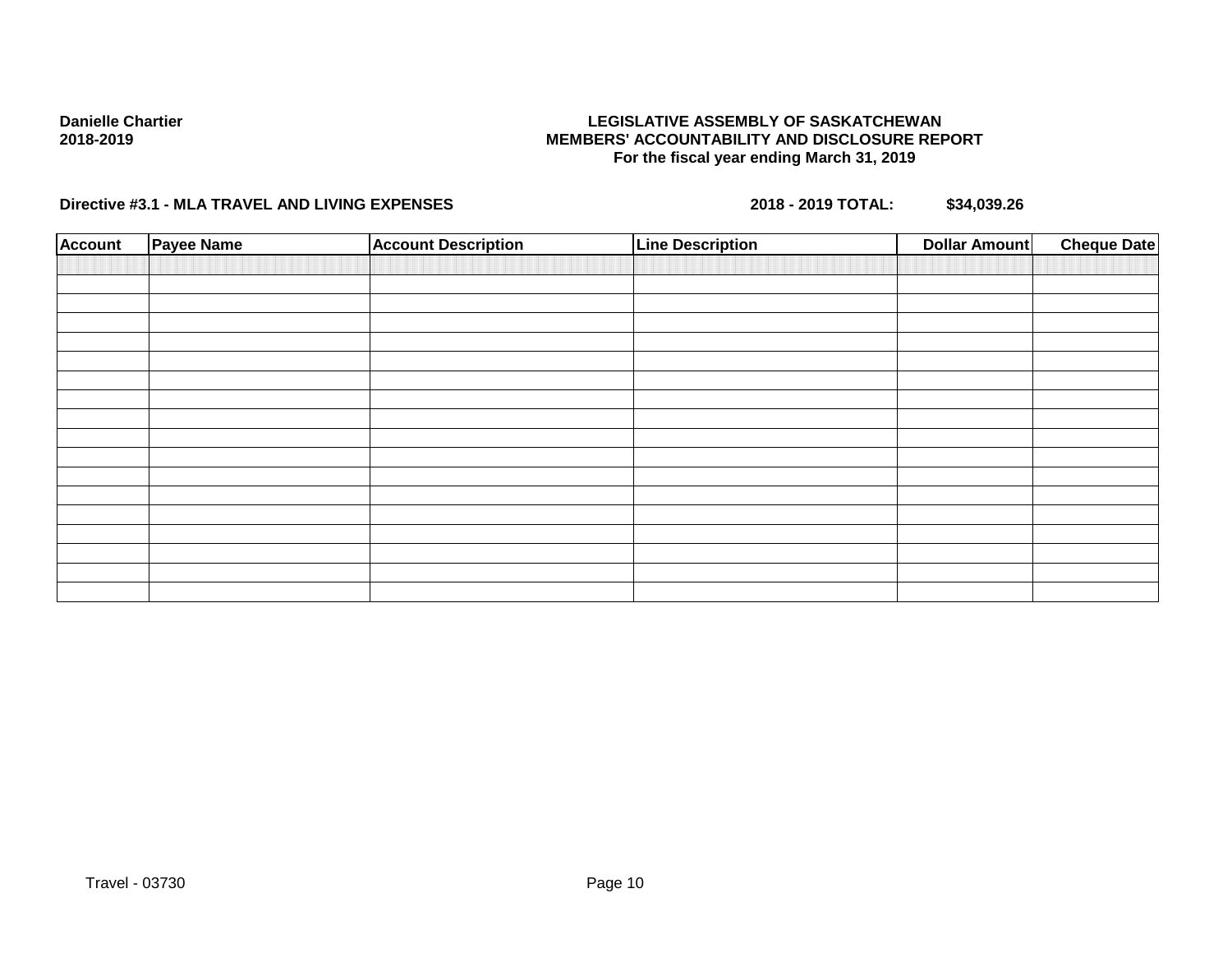## **LEGISLATIVE ASSEMBLY OF SASKATCHEWAN MEMBERS' ACCOUNTABILITY AND DISCLOSURE REPORT For the fiscal year ending March 31, 2019**

| <b>Account</b> | <b>Payee Name</b> | <b>Account Description</b> | <b>Line Description</b> | <b>Cheque Date</b><br><b>Dollar Amount</b> |
|----------------|-------------------|----------------------------|-------------------------|--------------------------------------------|
|                |                   |                            |                         |                                            |
|                |                   |                            |                         |                                            |
|                |                   |                            |                         |                                            |
|                |                   |                            |                         |                                            |
|                |                   |                            |                         |                                            |
|                |                   |                            |                         |                                            |
|                |                   |                            |                         |                                            |
|                |                   |                            |                         |                                            |
|                |                   |                            |                         |                                            |
|                |                   |                            |                         |                                            |
|                |                   |                            |                         |                                            |
|                |                   |                            |                         |                                            |
|                |                   |                            |                         |                                            |
|                |                   |                            |                         |                                            |
|                |                   |                            |                         |                                            |
|                |                   |                            |                         |                                            |
|                |                   |                            |                         |                                            |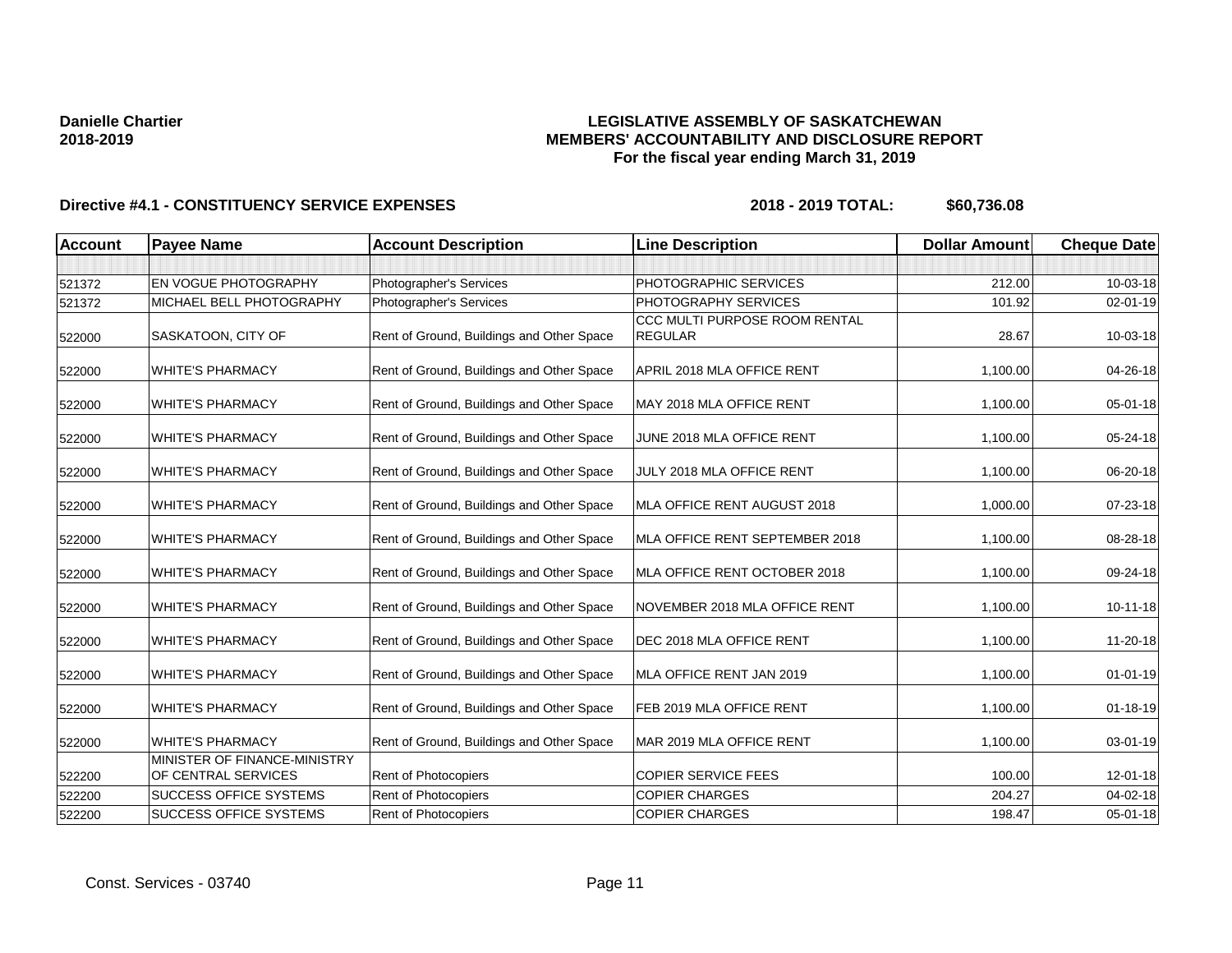## **LEGISLATIVE ASSEMBLY OF SASKATCHEWAN MEMBERS' ACCOUNTABILITY AND DISCLOSURE REPORT For the fiscal year ending March 31, 2019**

| <b>Account</b> | <b>Payee Name</b>                                   | <b>Account Description</b>                | <b>Line Description</b>                         | <b>Dollar Amount</b> | <b>Cheque Date</b> |
|----------------|-----------------------------------------------------|-------------------------------------------|-------------------------------------------------|----------------------|--------------------|
|                |                                                     |                                           |                                                 |                      |                    |
| 521372         | EN VOGUE PHOTOGRAPHY                                | Photographer's Services                   | PHOTOGRAPHIC SERVICES                           | 212.00               | 10-03-18           |
| 521372         | <b>MICHAEL BELL PHOTOGRAPHY</b>                     | Photographer's Services                   | PHOTOGRAPHY SERVICES                            | 101.92               | 02-01-19           |
| 522000         | SASKATOON, CITY OF                                  | Rent of Ground, Buildings and Other Space | CCC MULTI PURPOSE ROOM RENTAL<br><b>REGULAR</b> | 28.67                | 10-03-18           |
| 522000         | <b>WHITE'S PHARMACY</b>                             | Rent of Ground, Buildings and Other Space | APRIL 2018 MLA OFFICE RENT                      | 1,100.00             | 04-26-18           |
| 522000         | <b>WHITE'S PHARMACY</b>                             | Rent of Ground, Buildings and Other Space | MAY 2018 MLA OFFICE RENT                        | 1,100.00             | 05-01-18           |
| 522000         | <b>WHITE'S PHARMACY</b>                             | Rent of Ground, Buildings and Other Space | JUNE 2018 MLA OFFICE RENT                       | 1,100.00             | 05-24-18           |
| 522000         | <b>WHITE'S PHARMACY</b>                             | Rent of Ground, Buildings and Other Space | JULY 2018 MLA OFFICE RENT                       | 1,100.00             | 06-20-18           |
| 522000         | <b>WHITE'S PHARMACY</b>                             | Rent of Ground, Buildings and Other Space | MLA OFFICE RENT AUGUST 2018                     | 1,000.00             | 07-23-18           |
| 522000         | <b>WHITE'S PHARMACY</b>                             | Rent of Ground, Buildings and Other Space | MLA OFFICE RENT SEPTEMBER 2018                  | 1,100.00             | 08-28-18           |
| 522000         | <b>WHITE'S PHARMACY</b>                             | Rent of Ground, Buildings and Other Space | MLA OFFICE RENT OCTOBER 2018                    | 1,100.00             | 09-24-18           |
| 522000         | <b>WHITE'S PHARMACY</b>                             | Rent of Ground, Buildings and Other Space | NOVEMBER 2018 MLA OFFICE RENT                   | 1,100.00             | 10-11-18           |
| 522000         | <b>WHITE'S PHARMACY</b>                             | Rent of Ground, Buildings and Other Space | DEC 2018 MLA OFFICE RENT                        | 1,100.00             | 11-20-18           |
| 522000         | <b>WHITE'S PHARMACY</b>                             | Rent of Ground, Buildings and Other Space | MLA OFFICE RENT JAN 2019                        | 1,100.00             | $01 - 01 - 19$     |
| 522000         | <b>WHITE'S PHARMACY</b>                             | Rent of Ground, Buildings and Other Space | FEB 2019 MLA OFFICE RENT                        | 1,100.00             | $01 - 18 - 19$     |
| 522000         | <b>WHITE'S PHARMACY</b>                             | Rent of Ground, Buildings and Other Space | MAR 2019 MLA OFFICE RENT                        | 1,100.00             | 03-01-19           |
| 522200         | MINISTER OF FINANCE-MINISTRY<br>OF CENTRAL SERVICES | Rent of Photocopiers                      | <b>COPIER SERVICE FEES</b>                      | 100.00               | 12-01-18           |
| 522200         | <b>SUCCESS OFFICE SYSTEMS</b>                       | Rent of Photocopiers                      | <b>COPIER CHARGES</b>                           | 204.27               | 04-02-18           |
| 522200         | <b>SUCCESS OFFICE SYSTEMS</b>                       | Rent of Photocopiers                      | <b>COPIER CHARGES</b>                           | 198.47               | $05 - 01 - 18$     |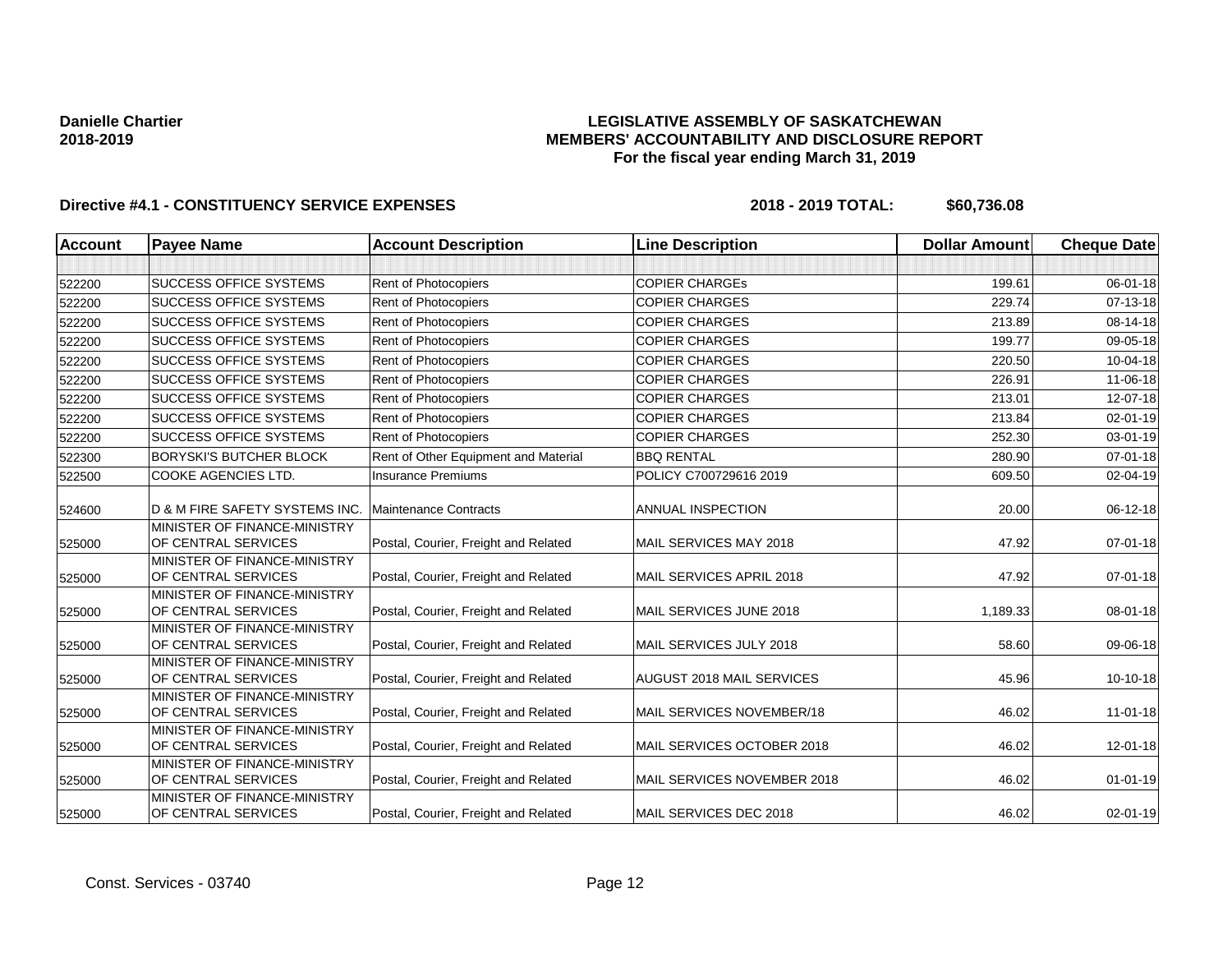## **LEGISLATIVE ASSEMBLY OF SASKATCHEWAN MEMBERS' ACCOUNTABILITY AND DISCLOSURE REPORT For the fiscal year ending March 31, 2019**

| <b>Account</b> | <b>Payee Name</b>                                   | <b>Account Description</b>           | <b>Line Description</b>     | <b>Dollar Amount</b> | <b>Cheque Date</b> |
|----------------|-----------------------------------------------------|--------------------------------------|-----------------------------|----------------------|--------------------|
|                |                                                     |                                      |                             |                      |                    |
| 522200         | <b>SUCCESS OFFICE SYSTEMS</b>                       | Rent of Photocopiers                 | <b>COPIER CHARGES</b>       | 199.61               | $06 - 01 - 18$     |
| 522200         | <b>SUCCESS OFFICE SYSTEMS</b>                       | Rent of Photocopiers                 | <b>COPIER CHARGES</b>       | 229.74               | 07-13-18           |
| 522200         | <b>SUCCESS OFFICE SYSTEMS</b>                       | <b>Rent of Photocopiers</b>          | <b>COPIER CHARGES</b>       | 213.89               | 08-14-18           |
| 522200         | <b>SUCCESS OFFICE SYSTEMS</b>                       | Rent of Photocopiers                 | <b>COPIER CHARGES</b>       | 199.77               | 09-05-18           |
| 522200         | <b>SUCCESS OFFICE SYSTEMS</b>                       | Rent of Photocopiers                 | <b>COPIER CHARGES</b>       | 220.50               | 10-04-18           |
| 522200         | <b>SUCCESS OFFICE SYSTEMS</b>                       | Rent of Photocopiers                 | <b>COPIER CHARGES</b>       | 226.91               | 11-06-18           |
| 522200         | <b>SUCCESS OFFICE SYSTEMS</b>                       | Rent of Photocopiers                 | <b>COPIER CHARGES</b>       | 213.01               | 12-07-18           |
| 522200         | <b>SUCCESS OFFICE SYSTEMS</b>                       | <b>Rent of Photocopiers</b>          | <b>COPIER CHARGES</b>       | 213.84               | 02-01-19           |
| 522200         | <b>SUCCESS OFFICE SYSTEMS</b>                       | Rent of Photocopiers                 | <b>COPIER CHARGES</b>       | 252.30               | 03-01-19           |
| 522300         | <b>BORYSKI'S BUTCHER BLOCK</b>                      | Rent of Other Equipment and Material | <b>BBQ RENTAL</b>           | 280.90               | $07 - 01 - 18$     |
| 522500         | COOKE AGENCIES LTD.                                 | <b>Insurance Premiums</b>            | POLICY C700729616 2019      | 609.50               | 02-04-19           |
| 524600         | D & M FIRE SAFETY SYSTEMS INC.                      | Maintenance Contracts                | <b>ANNUAL INSPECTION</b>    | 20.00                | 06-12-18           |
| 525000         | MINISTER OF FINANCE-MINISTRY<br>OF CENTRAL SERVICES | Postal, Courier, Freight and Related | MAIL SERVICES MAY 2018      | 47.92                | 07-01-18           |
| 525000         | MINISTER OF FINANCE-MINISTRY<br>OF CENTRAL SERVICES | Postal, Courier, Freight and Related | MAIL SERVICES APRIL 2018    | 47.92                | $07 - 01 - 18$     |
| 525000         | MINISTER OF FINANCE-MINISTRY<br>OF CENTRAL SERVICES | Postal, Courier, Freight and Related | MAIL SERVICES JUNE 2018     | 1,189.33             | 08-01-18           |
| 525000         | MINISTER OF FINANCE-MINISTRY<br>OF CENTRAL SERVICES | Postal, Courier, Freight and Related | MAIL SERVICES JULY 2018     | 58.60                | 09-06-18           |
| 525000         | MINISTER OF FINANCE-MINISTRY<br>OF CENTRAL SERVICES | Postal, Courier, Freight and Related | AUGUST 2018 MAIL SERVICES   | 45.96                | 10-10-18           |
| 525000         | MINISTER OF FINANCE-MINISTRY<br>OF CENTRAL SERVICES | Postal, Courier, Freight and Related | MAIL SERVICES NOVEMBER/18   | 46.02                | 11-01-18           |
| 525000         | MINISTER OF FINANCE-MINISTRY<br>OF CENTRAL SERVICES | Postal, Courier, Freight and Related | MAIL SERVICES OCTOBER 2018  | 46.02                | 12-01-18           |
| 525000         | MINISTER OF FINANCE-MINISTRY<br>OF CENTRAL SERVICES | Postal, Courier, Freight and Related | MAIL SERVICES NOVEMBER 2018 | 46.02                | $01 - 01 - 19$     |
| 525000         | MINISTER OF FINANCE-MINISTRY<br>OF CENTRAL SERVICES | Postal, Courier, Freight and Related | MAIL SERVICES DEC 2018      | 46.02                | $02 - 01 - 19$     |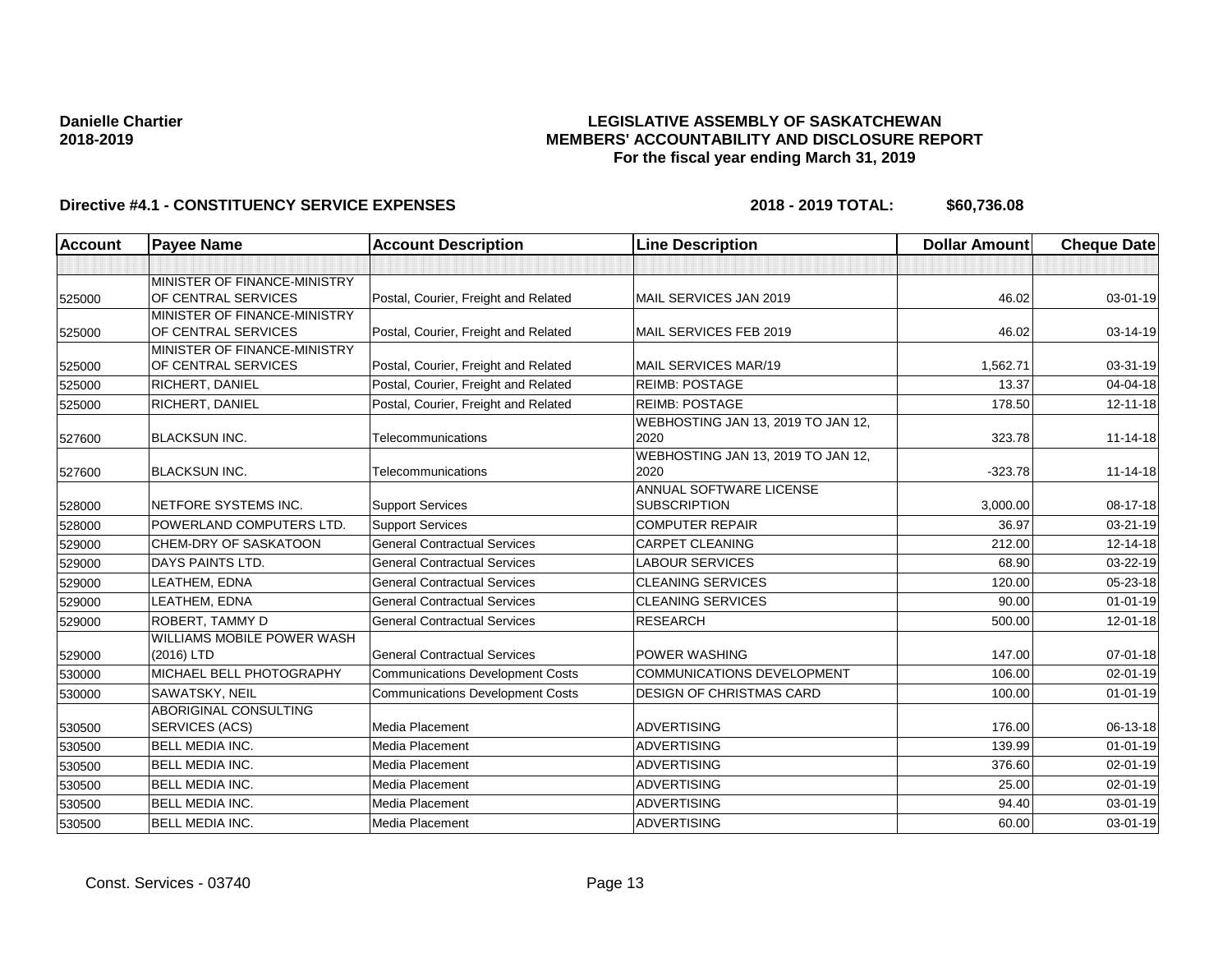## **LEGISLATIVE ASSEMBLY OF SASKATCHEWAN MEMBERS' ACCOUNTABILITY AND DISCLOSURE REPORT For the fiscal year ending March 31, 2019**

| <b>Account</b> | <b>Payee Name</b>                                   | <b>Account Description</b>              | <b>Line Description</b>                        | <b>Dollar Amount</b> | <b>Cheque Date</b> |
|----------------|-----------------------------------------------------|-----------------------------------------|------------------------------------------------|----------------------|--------------------|
|                |                                                     |                                         |                                                |                      |                    |
| 525000         | MINISTER OF FINANCE-MINISTRY<br>OF CENTRAL SERVICES | Postal, Courier, Freight and Related    | MAIL SERVICES JAN 2019                         | 46.02                | 03-01-19           |
| 525000         | MINISTER OF FINANCE-MINISTRY<br>OF CENTRAL SERVICES | Postal, Courier, Freight and Related    | MAIL SERVICES FEB 2019                         | 46.02                | 03-14-19           |
| 525000         | MINISTER OF FINANCE-MINISTRY<br>OF CENTRAL SERVICES | Postal, Courier, Freight and Related    | MAIL SERVICES MAR/19                           | 1,562.71             | 03-31-19           |
| 525000         | RICHERT, DANIEL                                     | Postal, Courier, Freight and Related    | <b>REIMB: POSTAGE</b>                          | 13.37                | 04-04-18           |
| 525000         | RICHERT, DANIEL                                     | Postal, Courier, Freight and Related    | <b>REIMB: POSTAGE</b>                          | 178.50               | $12 - 11 - 18$     |
| 527600         | <b>BLACKSUN INC.</b>                                | Telecommunications                      | WEBHOSTING JAN 13, 2019 TO JAN 12,<br>2020     | 323.78               | $11 - 14 - 18$     |
| 527600         | <b>BLACKSUN INC.</b>                                | Telecommunications                      | WEBHOSTING JAN 13, 2019 TO JAN 12,<br>2020     | $-323.78$            | $11 - 14 - 18$     |
| 528000         | NETFORE SYSTEMS INC.                                | <b>Support Services</b>                 | ANNUAL SOFTWARE LICENSE<br><b>SUBSCRIPTION</b> | 3,000.00             | 08-17-18           |
| 528000         | POWERLAND COMPUTERS LTD.                            | <b>Support Services</b>                 | <b>COMPUTER REPAIR</b>                         | 36.97                | 03-21-19           |
| 529000         | <b>CHEM-DRY OF SASKATOON</b>                        | <b>General Contractual Services</b>     | <b>CARPET CLEANING</b>                         | 212.00               | 12-14-18           |
| 529000         | <b>DAYS PAINTS LTD.</b>                             | <b>General Contractual Services</b>     | <b>LABOUR SERVICES</b>                         | 68.90                | 03-22-19           |
| 529000         | LEATHEM, EDNA                                       | <b>General Contractual Services</b>     | <b>CLEANING SERVICES</b>                       | 120.00               | 05-23-18           |
| 529000         | LEATHEM, EDNA                                       | <b>General Contractual Services</b>     | <b>CLEANING SERVICES</b>                       | 90.00                | $01 - 01 - 19$     |
| 529000         | <b>ROBERT, TAMMY D</b>                              | <b>General Contractual Services</b>     | <b>RESEARCH</b>                                | 500.00               | 12-01-18           |
| 529000         | WILLIAMS MOBILE POWER WASH<br>(2016) LTD            | <b>General Contractual Services</b>     | POWER WASHING                                  | 147.00               | $07 - 01 - 18$     |
| 530000         | MICHAEL BELL PHOTOGRAPHY                            | <b>Communications Development Costs</b> | <b>COMMUNICATIONS DEVELOPMENT</b>              | 106.00               | $02 - 01 - 19$     |
| 530000         | SAWATSKY, NEIL                                      | <b>Communications Development Costs</b> | <b>DESIGN OF CHRISTMAS CARD</b>                | 100.00               | $01 - 01 - 19$     |
| 530500         | <b>ABORIGINAL CONSULTING</b><br>SERVICES (ACS)      | Media Placement                         | <b>ADVERTISING</b>                             | 176.00               | 06-13-18           |
| 530500         | <b>BELL MEDIA INC.</b>                              | <b>Media Placement</b>                  | <b>ADVERTISING</b>                             | 139.99               | $01 - 01 - 19$     |
| 530500         | <b>BELL MEDIA INC.</b>                              | <b>Media Placement</b>                  | <b>ADVERTISING</b>                             | 376.60               | $02 - 01 - 19$     |
| 530500         | <b>BELL MEDIA INC.</b>                              | Media Placement                         | <b>ADVERTISING</b>                             | 25.00                | $02 - 01 - 19$     |
| 530500         | <b>BELL MEDIA INC.</b>                              | <b>Media Placement</b>                  | <b>ADVERTISING</b>                             | 94.40                | 03-01-19           |
| 530500         | <b>BELL MEDIA INC.</b>                              | <b>Media Placement</b>                  | <b>ADVERTISING</b>                             | 60.00                | 03-01-19           |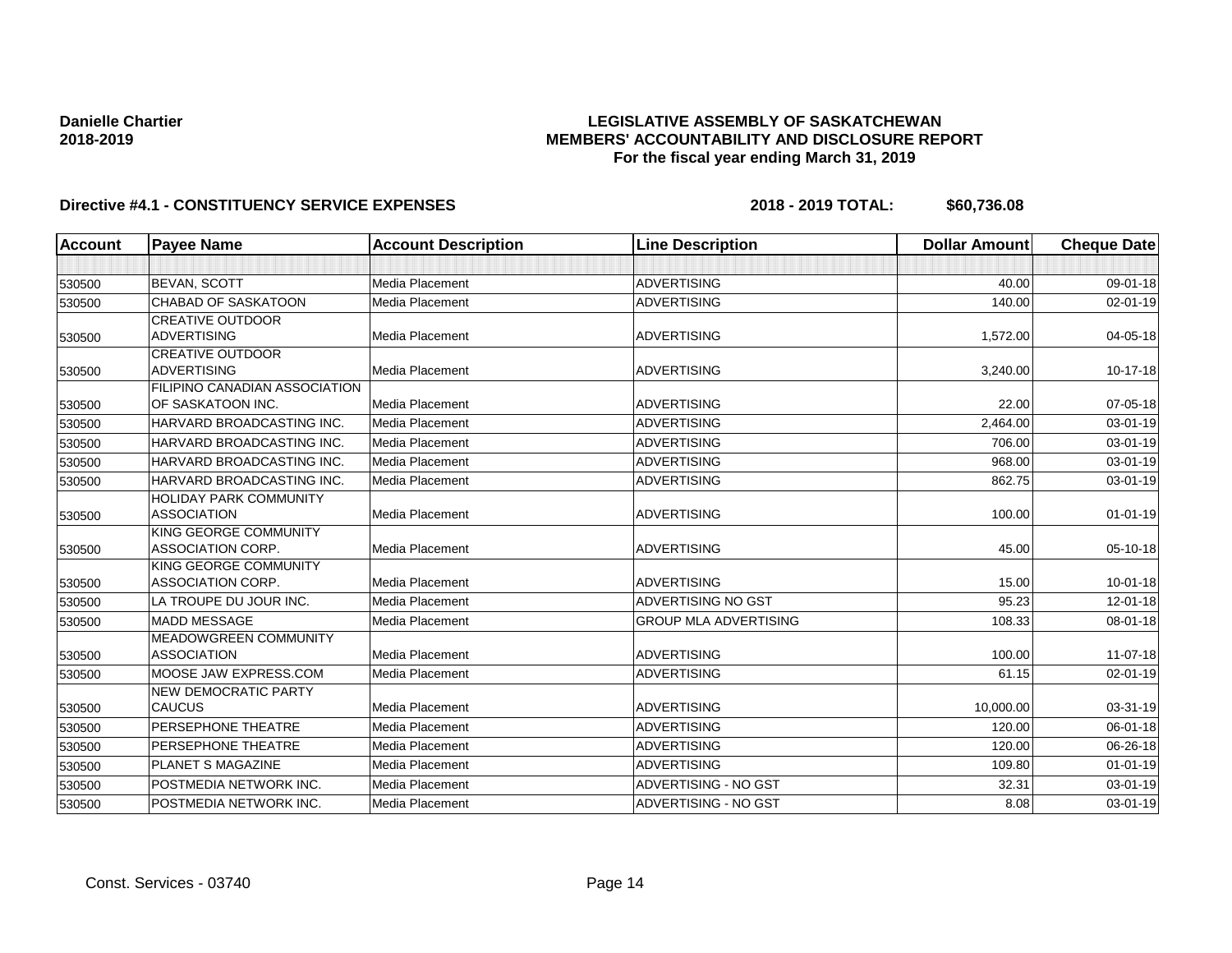## **LEGISLATIVE ASSEMBLY OF SASKATCHEWAN MEMBERS' ACCOUNTABILITY AND DISCLOSURE REPORT For the fiscal year ending March 31, 2019**

| <b>Account</b> | <b>Payee Name</b>             | <b>Account Description</b> | <b>Line Description</b>      | <b>Dollar Amount</b> | <b>Cheque Date</b> |
|----------------|-------------------------------|----------------------------|------------------------------|----------------------|--------------------|
|                |                               |                            |                              |                      |                    |
| 530500         | <b>BEVAN, SCOTT</b>           | Media Placement            | <b>ADVERTISING</b>           | 40.00                | 09-01-18           |
| 530500         | <b>CHABAD OF SASKATOON</b>    | Media Placement            | <b>ADVERTISING</b>           | 140.00               | $02 - 01 - 19$     |
|                | <b>CREATIVE OUTDOOR</b>       |                            |                              |                      |                    |
| 530500         | <b>ADVERTISING</b>            | Media Placement            | <b>ADVERTISING</b>           | 1,572.00             | 04-05-18           |
|                | <b>CREATIVE OUTDOOR</b>       |                            |                              |                      |                    |
| 530500         | <b>ADVERTISING</b>            | Media Placement            | <b>ADVERTISING</b>           | 3,240.00             | 10-17-18           |
|                | FILIPINO CANADIAN ASSOCIATION |                            |                              |                      |                    |
| 530500         | OF SASKATOON INC.             | Media Placement            | <b>ADVERTISING</b>           | 22.00                | 07-05-18           |
| 530500         | HARVARD BROADCASTING INC.     | Media Placement            | <b>ADVERTISING</b>           | 2,464.00             | 03-01-19           |
| 530500         | HARVARD BROADCASTING INC.     | Media Placement            | <b>ADVERTISING</b>           | 706.00               | $03 - 01 - 19$     |
| 530500         | HARVARD BROADCASTING INC.     | Media Placement            | <b>ADVERTISING</b>           | 968.00               | 03-01-19           |
| 530500         | HARVARD BROADCASTING INC.     | Media Placement            | <b>ADVERTISING</b>           | 862.75               | 03-01-19           |
|                | <b>HOLIDAY PARK COMMUNITY</b> |                            |                              |                      |                    |
| 530500         | <b>ASSOCIATION</b>            | Media Placement            | <b>ADVERTISING</b>           | 100.00               | $01 - 01 - 19$     |
|                | KING GEORGE COMMUNITY         |                            |                              |                      |                    |
| 530500         | ASSOCIATION CORP.             | Media Placement            | <b>ADVERTISING</b>           | 45.00                | 05-10-18           |
|                | KING GEORGE COMMUNITY         |                            |                              |                      |                    |
| 530500         | ASSOCIATION CORP.             | Media Placement            | <b>ADVERTISING</b>           | 15.00                | $10 - 01 - 18$     |
| 530500         | LA TROUPE DU JOUR INC.        | Media Placement            | ADVERTISING NO GST           | 95.23                | 12-01-18           |
| 530500         | <b>MADD MESSAGE</b>           | Media Placement            | <b>GROUP MLA ADVERTISING</b> | 108.33               | 08-01-18           |
|                | <b>MEADOWGREEN COMMUNITY</b>  |                            |                              |                      |                    |
| 530500         | <b>ASSOCIATION</b>            | Media Placement            | <b>ADVERTISING</b>           | 100.00               | $11-07-18$         |
| 530500         | MOOSE JAW EXPRESS.COM         | Media Placement            | <b>ADVERTISING</b>           | 61.15                | 02-01-19           |
|                | <b>NEW DEMOCRATIC PARTY</b>   |                            |                              |                      |                    |
| 530500         | <b>CAUCUS</b>                 | Media Placement            | <b>ADVERTISING</b>           | 10,000.00            | 03-31-19           |
| 530500         | PERSEPHONE THEATRE            | Media Placement            | <b>ADVERTISING</b>           | 120.00               | 06-01-18           |
| 530500         | PERSEPHONE THEATRE            | Media Placement            | <b>ADVERTISING</b>           | 120.00               | 06-26-18           |
| 530500         | <b>PLANET S MAGAZINE</b>      | Media Placement            | <b>ADVERTISING</b>           | 109.80               | $01 - 01 - 19$     |
| 530500         | POSTMEDIA NETWORK INC.        | Media Placement            | <b>ADVERTISING - NO GST</b>  | 32.31                | 03-01-19           |
| 530500         | POSTMEDIA NETWORK INC.        | Media Placement            | ADVERTISING - NO GST         | 8.08                 | 03-01-19           |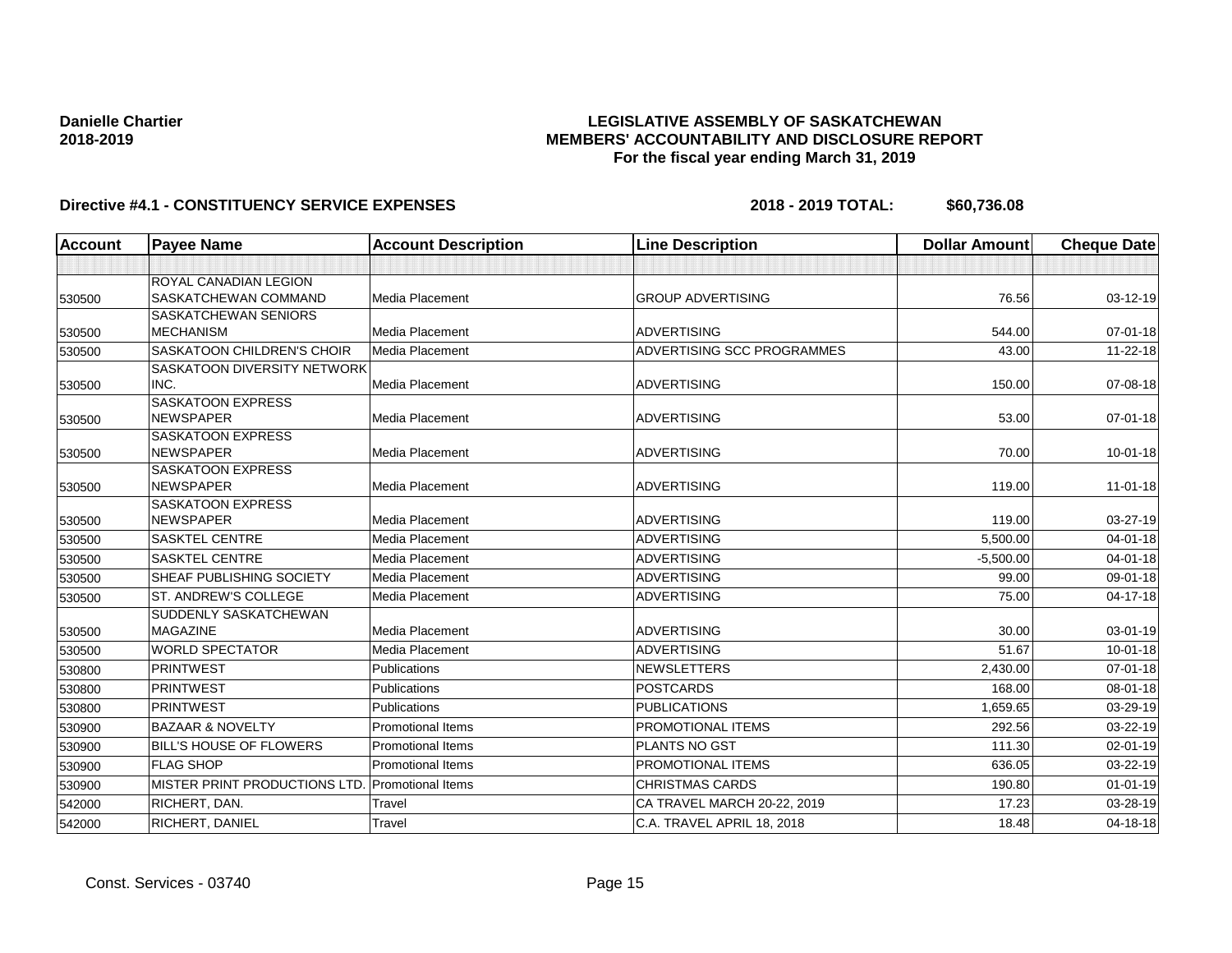## **LEGISLATIVE ASSEMBLY OF SASKATCHEWAN MEMBERS' ACCOUNTABILITY AND DISCLOSURE REPORT For the fiscal year ending March 31, 2019**

| <b>Account</b> | <b>Payee Name</b>                            | <b>Account Description</b> | <b>Line Description</b>     | <b>Dollar Amount</b> | <b>Cheque Date</b> |
|----------------|----------------------------------------------|----------------------------|-----------------------------|----------------------|--------------------|
|                |                                              |                            |                             |                      |                    |
|                | ROYAL CANADIAN LEGION                        |                            |                             |                      |                    |
| 530500         | SASKATCHEWAN COMMAND                         | <b>Media Placement</b>     | <b>GROUP ADVERTISING</b>    | 76.56                | 03-12-19           |
|                | <b>SASKATCHEWAN SENIORS</b>                  |                            |                             |                      |                    |
| 530500         | <b>MECHANISM</b>                             | <b>Media Placement</b>     | <b>ADVERTISING</b>          | 544.00               | 07-01-18           |
| 530500         | <b>SASKATOON CHILDREN'S CHOIR</b>            | Media Placement            | ADVERTISING SCC PROGRAMMES  | 43.00                | 11-22-18           |
|                | SASKATOON DIVERSITY NETWORK                  |                            |                             |                      |                    |
| 530500         | INC.                                         | <b>Media Placement</b>     | <b>ADVERTISING</b>          | 150.00               | 07-08-18           |
|                | <b>SASKATOON EXPRESS</b><br><b>NEWSPAPER</b> | Media Placement            | <b>ADVERTISING</b>          | 53.00                |                    |
| 530500         | <b>SASKATOON EXPRESS</b>                     |                            |                             |                      | 07-01-18           |
| 530500         | <b>NEWSPAPER</b>                             | <b>Media Placement</b>     | <b>ADVERTISING</b>          | 70.00                | $10 - 01 - 18$     |
|                | <b>SASKATOON EXPRESS</b>                     |                            |                             |                      |                    |
| 530500         | <b>NEWSPAPER</b>                             | <b>Media Placement</b>     | <b>ADVERTISING</b>          | 119.00               | $11 - 01 - 18$     |
|                | <b>SASKATOON EXPRESS</b>                     |                            |                             |                      |                    |
| 530500         | <b>NEWSPAPER</b>                             | Media Placement            | <b>ADVERTISING</b>          | 119.00               | 03-27-19           |
| 530500         | <b>SASKTEL CENTRE</b>                        | Media Placement            | <b>ADVERTISING</b>          | 5,500.00             | $04 - 01 - 18$     |
| 530500         | <b>SASKTEL CENTRE</b>                        | Media Placement            | <b>ADVERTISING</b>          | $-5,500.00$          | $04 - 01 - 18$     |
| 530500         | SHEAF PUBLISHING SOCIETY                     | <b>Media Placement</b>     | <b>ADVERTISING</b>          | 99.00                | 09-01-18           |
| 530500         | <b>ST. ANDREW'S COLLEGE</b>                  | <b>Media Placement</b>     | <b>ADVERTISING</b>          | 75.00                | $04 - 17 - 18$     |
|                | <b>SUDDENLY SASKATCHEWAN</b>                 |                            |                             |                      |                    |
| 530500         | <b>MAGAZINE</b>                              | <b>Media Placement</b>     | <b>ADVERTISING</b>          | 30.00                | 03-01-19           |
| 530500         | <b>WORLD SPECTATOR</b>                       | Media Placement            | <b>ADVERTISING</b>          | 51.67                | 10-01-18           |
| 530800         | <b>PRINTWEST</b>                             | Publications               | <b>NEWSLETTERS</b>          | 2,430.00             | $07 - 01 - 18$     |
| 530800         | PRINTWEST                                    | Publications               | <b>POSTCARDS</b>            | 168.00               | 08-01-18           |
| 530800         | <b>PRINTWEST</b>                             | <b>Publications</b>        | <b>PUBLICATIONS</b>         | 1,659.65             | 03-29-19           |
| 530900         | <b>BAZAAR &amp; NOVELTY</b>                  | <b>Promotional Items</b>   | PROMOTIONAL ITEMS           | 292.56               | 03-22-19           |
| 530900         | <b>BILL'S HOUSE OF FLOWERS</b>               | <b>Promotional Items</b>   | <b>PLANTS NO GST</b>        | 111.30               | 02-01-19           |
| 530900         | <b>FLAG SHOP</b>                             | <b>Promotional Items</b>   | PROMOTIONAL ITEMS           | 636.05               | 03-22-19           |
| 530900         | MISTER PRINT PRODUCTIONS LTD.                | <b>Promotional Items</b>   | <b>CHRISTMAS CARDS</b>      | 190.80               | $01 - 01 - 19$     |
| 542000         | RICHERT, DAN.                                | Travel                     | CA TRAVEL MARCH 20-22, 2019 | 17.23                | 03-28-19           |
| 542000         | RICHERT, DANIEL                              | Travel                     | C.A. TRAVEL APRIL 18, 2018  | 18.48                | 04-18-18           |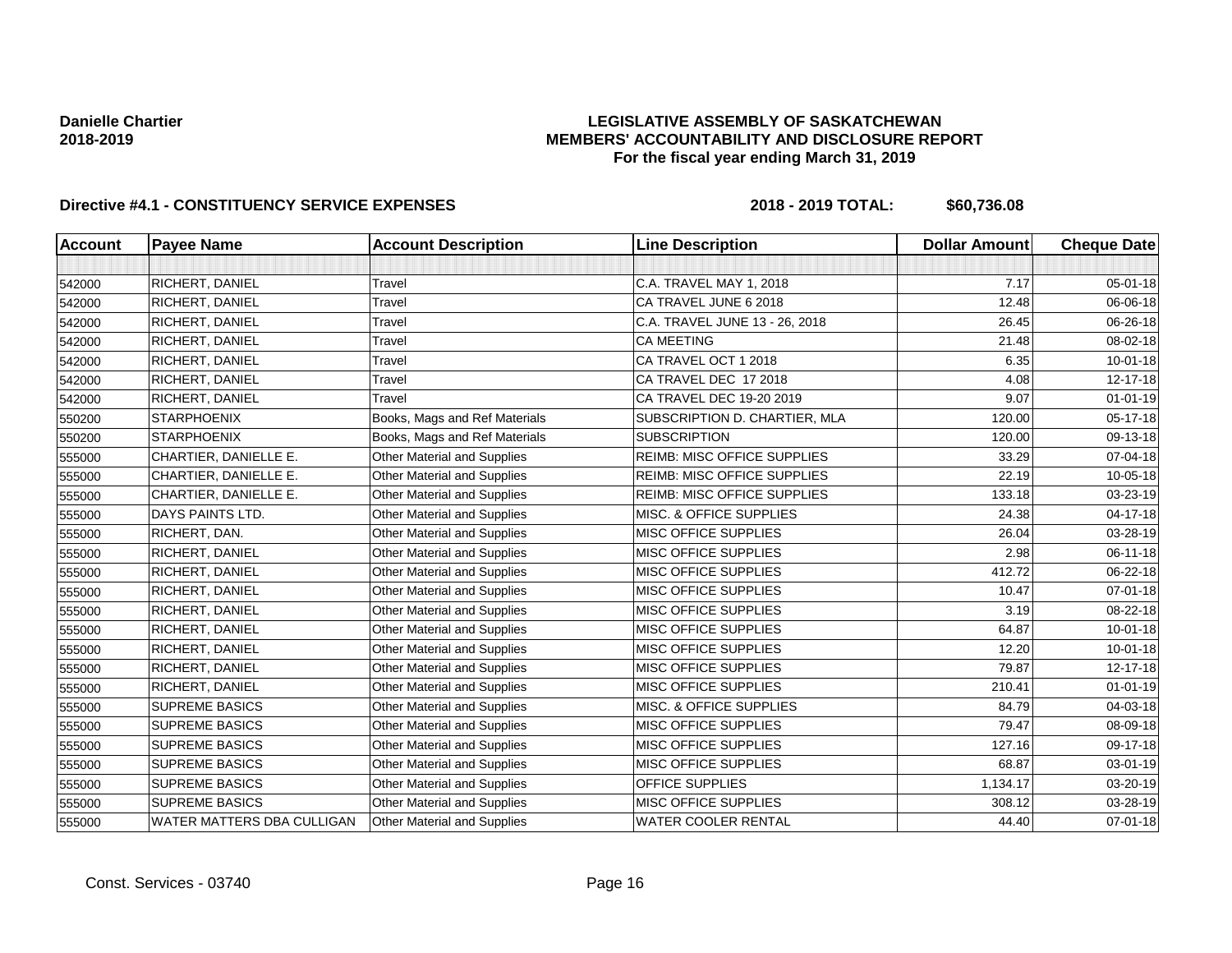## **LEGISLATIVE ASSEMBLY OF SASKATCHEWAN MEMBERS' ACCOUNTABILITY AND DISCLOSURE REPORT For the fiscal year ending March 31, 2019**

| <b>Account</b> | <b>Payee Name</b>          | <b>Account Description</b>         | <b>Line Description</b>            | <b>Dollar Amount</b> | <b>Cheque Date</b> |
|----------------|----------------------------|------------------------------------|------------------------------------|----------------------|--------------------|
|                |                            |                                    |                                    |                      |                    |
| 542000         | <b>RICHERT, DANIEL</b>     | Travel                             | C.A. TRAVEL MAY 1, 2018            | 7.17                 | $05 - 01 - 18$     |
| 542000         | <b>RICHERT, DANIEL</b>     | Travel                             | CA TRAVEL JUNE 6 2018              | 12.48                | 06-06-18           |
| 542000         | RICHERT, DANIEL            | Travel                             | C.A. TRAVEL JUNE 13 - 26, 2018     | 26.45                | 06-26-18           |
| 542000         | <b>RICHERT, DANIEL</b>     | Travel                             | CA MEETING                         | 21.48                | 08-02-18           |
| 542000         | <b>RICHERT, DANIEL</b>     | Travel                             | CA TRAVEL OCT 1 2018               | 6.35                 | $10 - 01 - 18$     |
| 542000         | <b>RICHERT, DANIEL</b>     | Travel                             | CA TRAVEL DEC 17 2018              | 4.08                 | 12-17-18           |
| 542000         | <b>RICHERT, DANIEL</b>     | Travel                             | CA TRAVEL DEC 19-20 2019           | 9.07                 | $01 - 01 - 19$     |
| 550200         | <b>STARPHOENIX</b>         | Books, Mags and Ref Materials      | SUBSCRIPTION D. CHARTIER, MLA      | 120.00               | 05-17-18           |
| 550200         | <b>STARPHOENIX</b>         | Books, Mags and Ref Materials      | <b>SUBSCRIPTION</b>                | 120.00               | 09-13-18           |
| 555000         | CHARTIER, DANIELLE E.      | <b>Other Material and Supplies</b> | <b>REIMB: MISC OFFICE SUPPLIES</b> | 33.29                | 07-04-18           |
| 555000         | CHARTIER, DANIELLE E.      | Other Material and Supplies        | <b>REIMB: MISC OFFICE SUPPLIES</b> | 22.19                | 10-05-18           |
| 555000         | CHARTIER, DANIELLE E.      | <b>Other Material and Supplies</b> | <b>REIMB: MISC OFFICE SUPPLIES</b> | 133.18               | 03-23-19           |
| 555000         | DAYS PAINTS LTD.           | Other Material and Supplies        | MISC. & OFFICE SUPPLIES            | 24.38                | 04-17-18           |
| 555000         | RICHERT, DAN.              | <b>Other Material and Supplies</b> | <b>MISC OFFICE SUPPLIES</b>        | 26.04                | 03-28-19           |
| 555000         | <b>RICHERT, DANIEL</b>     | Other Material and Supplies        | <b>MISC OFFICE SUPPLIES</b>        | 2.98                 | 06-11-18           |
| 555000         | RICHERT, DANIEL            | Other Material and Supplies        | MISC OFFICE SUPPLIES               | 412.72               | 06-22-18           |
| 555000         | <b>RICHERT, DANIEL</b>     | <b>Other Material and Supplies</b> | <b>MISC OFFICE SUPPLIES</b>        | 10.47                | $07 - 01 - 18$     |
| 555000         | <b>RICHERT, DANIEL</b>     | <b>Other Material and Supplies</b> | <b>MISC OFFICE SUPPLIES</b>        | 3.19                 | 08-22-18           |
| 555000         | <b>RICHERT, DANIEL</b>     | Other Material and Supplies        | <b>MISC OFFICE SUPPLIES</b>        | 64.87                | $10 - 01 - 18$     |
| 555000         | <b>RICHERT, DANIEL</b>     | <b>Other Material and Supplies</b> | <b>MISC OFFICE SUPPLIES</b>        | 12.20                | $10 - 01 - 18$     |
| 555000         | RICHERT, DANIEL            | Other Material and Supplies        | <b>MISC OFFICE SUPPLIES</b>        | 79.87                | 12-17-18           |
| 555000         | RICHERT, DANIEL            | Other Material and Supplies        | <b>MISC OFFICE SUPPLIES</b>        | 210.41               | $01 - 01 - 19$     |
| 555000         | <b>SUPREME BASICS</b>      | Other Material and Supplies        | MISC. & OFFICE SUPPLIES            | 84.79                | 04-03-18           |
| 555000         | <b>SUPREME BASICS</b>      | Other Material and Supplies        | <b>MISC OFFICE SUPPLIES</b>        | 79.47                | 08-09-18           |
| 555000         | <b>SUPREME BASICS</b>      | <b>Other Material and Supplies</b> | <b>MISC OFFICE SUPPLIES</b>        | 127.16               | 09-17-18           |
| 555000         | <b>SUPREME BASICS</b>      | <b>Other Material and Supplies</b> | <b>MISC OFFICE SUPPLIES</b>        | 68.87                | 03-01-19           |
| 555000         | <b>SUPREME BASICS</b>      | Other Material and Supplies        | OFFICE SUPPLIES                    | 1,134.17             | 03-20-19           |
| 555000         | <b>SUPREME BASICS</b>      | Other Material and Supplies        | <b>MISC OFFICE SUPPLIES</b>        | 308.12               | 03-28-19           |
| 555000         | WATER MATTERS DBA CULLIGAN | Other Material and Supplies        | <b>WATER COOLER RENTAL</b>         | 44.40                | $07 - 01 - 18$     |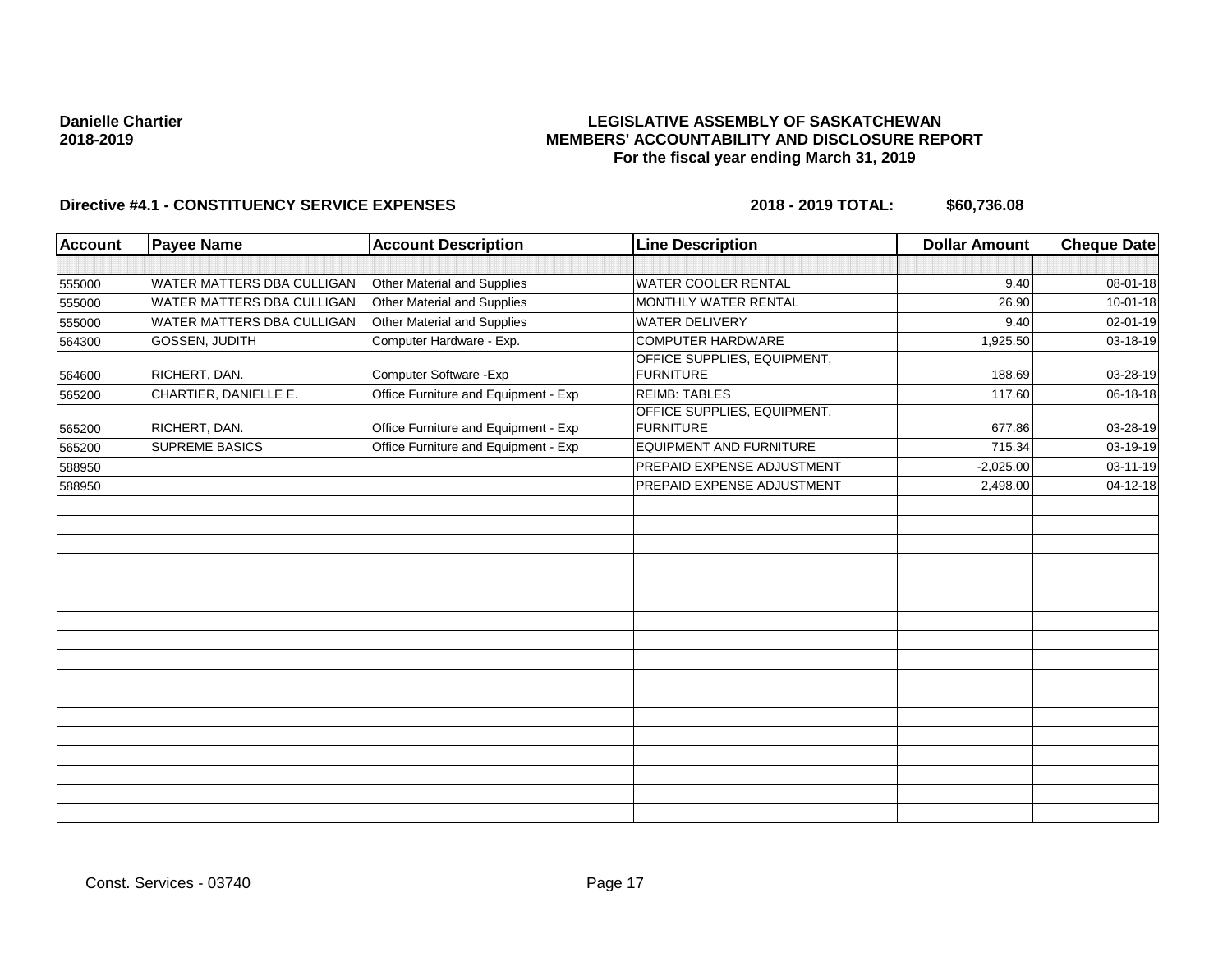## **LEGISLATIVE ASSEMBLY OF SASKATCHEWAN MEMBERS' ACCOUNTABILITY AND DISCLOSURE REPORT For the fiscal year ending March 31, 2019**

| <b>Account</b> | <b>Payee Name</b>                 | <b>Account Description</b>           | <b>Line Description</b>                         | <b>Dollar Amount</b> | Cheque Date    |
|----------------|-----------------------------------|--------------------------------------|-------------------------------------------------|----------------------|----------------|
|                |                                   |                                      |                                                 |                      |                |
| 555000         | <b>WATER MATTERS DBA CULLIGAN</b> | Other Material and Supplies          | WATER COOLER RENTAL                             | 9.40                 | 08-01-18       |
| 555000         | <b>WATER MATTERS DBA CULLIGAN</b> | Other Material and Supplies          | <b>MONTHLY WATER RENTAL</b>                     | 26.90                | 10-01-18       |
| 555000         | <b>WATER MATTERS DBA CULLIGAN</b> | Other Material and Supplies          | <b>WATER DELIVERY</b>                           | 9.40                 | 02-01-19       |
| 564300         | GOSSEN, JUDITH                    | Computer Hardware - Exp.             | COMPUTER HARDWARE                               | 1,925.50             | 03-18-19       |
| 564600         | RICHERT, DAN.                     | Computer Software - Exp              | OFFICE SUPPLIES, EQUIPMENT,<br><b>FURNITURE</b> | 188.69               | 03-28-19       |
| 565200         | CHARTIER, DANIELLE E.             | Office Furniture and Equipment - Exp | <b>REIMB: TABLES</b>                            | 117.60               | 06-18-18       |
| 565200         | RICHERT, DAN.                     | Office Furniture and Equipment - Exp | OFFICE SUPPLIES, EQUIPMENT,<br><b>FURNITURE</b> | 677.86               | 03-28-19       |
| 565200         | <b>SUPREME BASICS</b>             | Office Furniture and Equipment - Exp | <b>EQUIPMENT AND FURNITURE</b>                  | 715.34               | 03-19-19       |
| 588950         |                                   |                                      | PREPAID EXPENSE ADJUSTMENT                      | $-2,025.00$          | $03 - 11 - 19$ |
| 588950         |                                   |                                      | PREPAID EXPENSE ADJUSTMENT                      | 2,498.00             | 04-12-18       |
|                |                                   |                                      |                                                 |                      |                |
|                |                                   |                                      |                                                 |                      |                |
|                |                                   |                                      |                                                 |                      |                |
|                |                                   |                                      |                                                 |                      |                |
|                |                                   |                                      |                                                 |                      |                |
|                |                                   |                                      |                                                 |                      |                |
|                |                                   |                                      |                                                 |                      |                |
|                |                                   |                                      |                                                 |                      |                |
|                |                                   |                                      |                                                 |                      |                |
|                |                                   |                                      |                                                 |                      |                |
|                |                                   |                                      |                                                 |                      |                |
|                |                                   |                                      |                                                 |                      |                |
|                |                                   |                                      |                                                 |                      |                |
|                |                                   |                                      |                                                 |                      |                |
|                |                                   |                                      |                                                 |                      |                |
|                |                                   |                                      |                                                 |                      |                |
|                |                                   |                                      |                                                 |                      |                |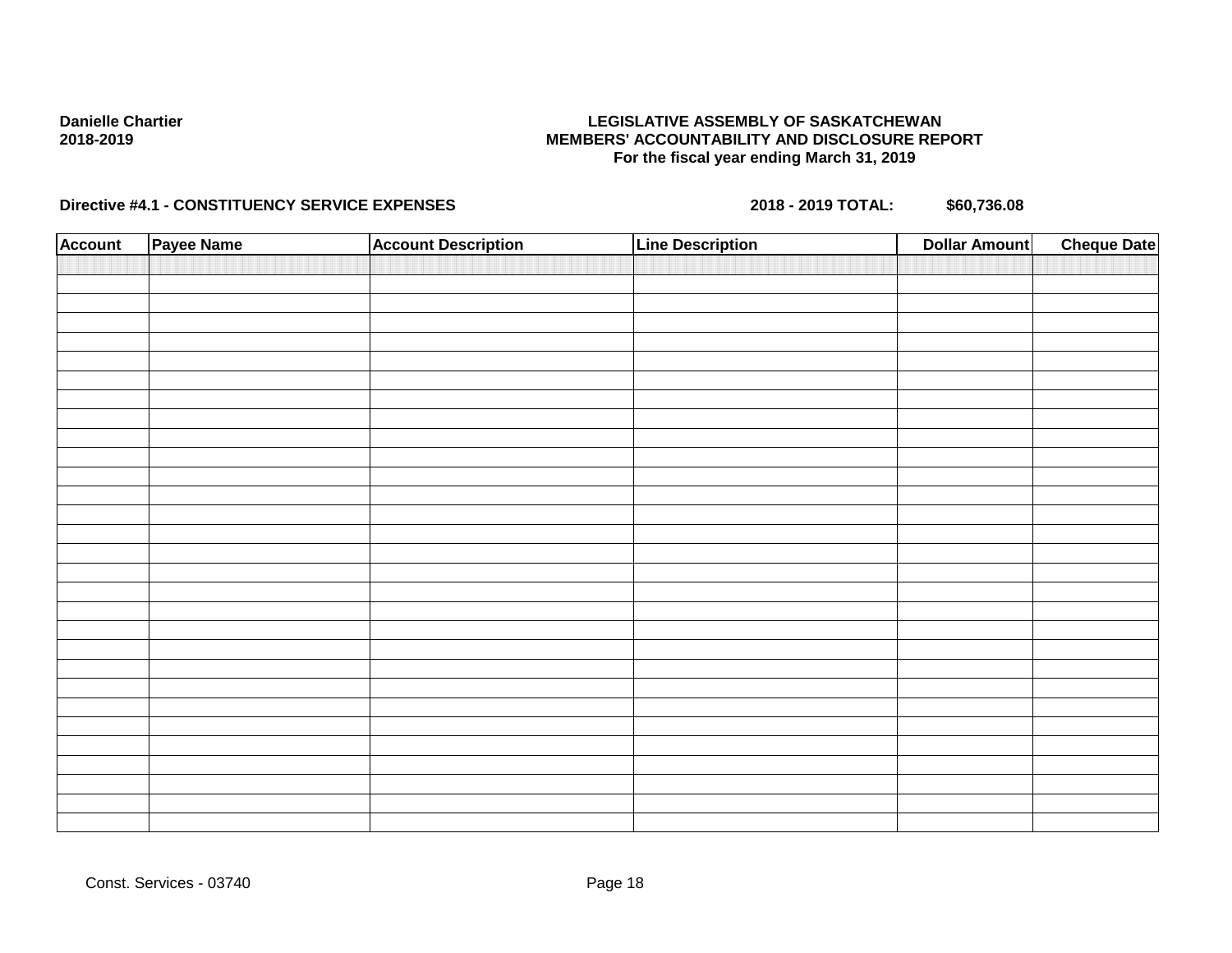## **LEGISLATIVE ASSEMBLY OF SASKATCHEWAN MEMBERS' ACCOUNTABILITY AND DISCLOSURE REPORT For the fiscal year ending March 31, 2019**

| <b>Account</b> | Payee Name | <b>Account Description</b> | <b>Line Description</b> | <b>Dollar Amount</b> | <b>Cheque Date</b> |
|----------------|------------|----------------------------|-------------------------|----------------------|--------------------|
|                |            |                            |                         |                      |                    |
|                |            |                            |                         |                      |                    |
|                |            |                            |                         |                      |                    |
|                |            |                            |                         |                      |                    |
|                |            |                            |                         |                      |                    |
|                |            |                            |                         |                      |                    |
|                |            |                            |                         |                      |                    |
|                |            |                            |                         |                      |                    |
|                |            |                            |                         |                      |                    |
|                |            |                            |                         |                      |                    |
|                |            |                            |                         |                      |                    |
|                |            |                            |                         |                      |                    |
|                |            |                            |                         |                      |                    |
|                |            |                            |                         |                      |                    |
|                |            |                            |                         |                      |                    |
|                |            |                            |                         |                      |                    |
|                |            |                            |                         |                      |                    |
|                |            |                            |                         |                      |                    |
|                |            |                            |                         |                      |                    |
|                |            |                            |                         |                      |                    |
|                |            |                            |                         |                      |                    |
|                |            |                            |                         |                      |                    |
|                |            |                            |                         |                      |                    |
|                |            |                            |                         |                      |                    |
|                |            |                            |                         |                      |                    |
|                |            |                            |                         |                      |                    |
|                |            |                            |                         |                      |                    |
|                |            |                            |                         |                      |                    |
|                |            |                            |                         |                      |                    |
|                |            |                            |                         |                      |                    |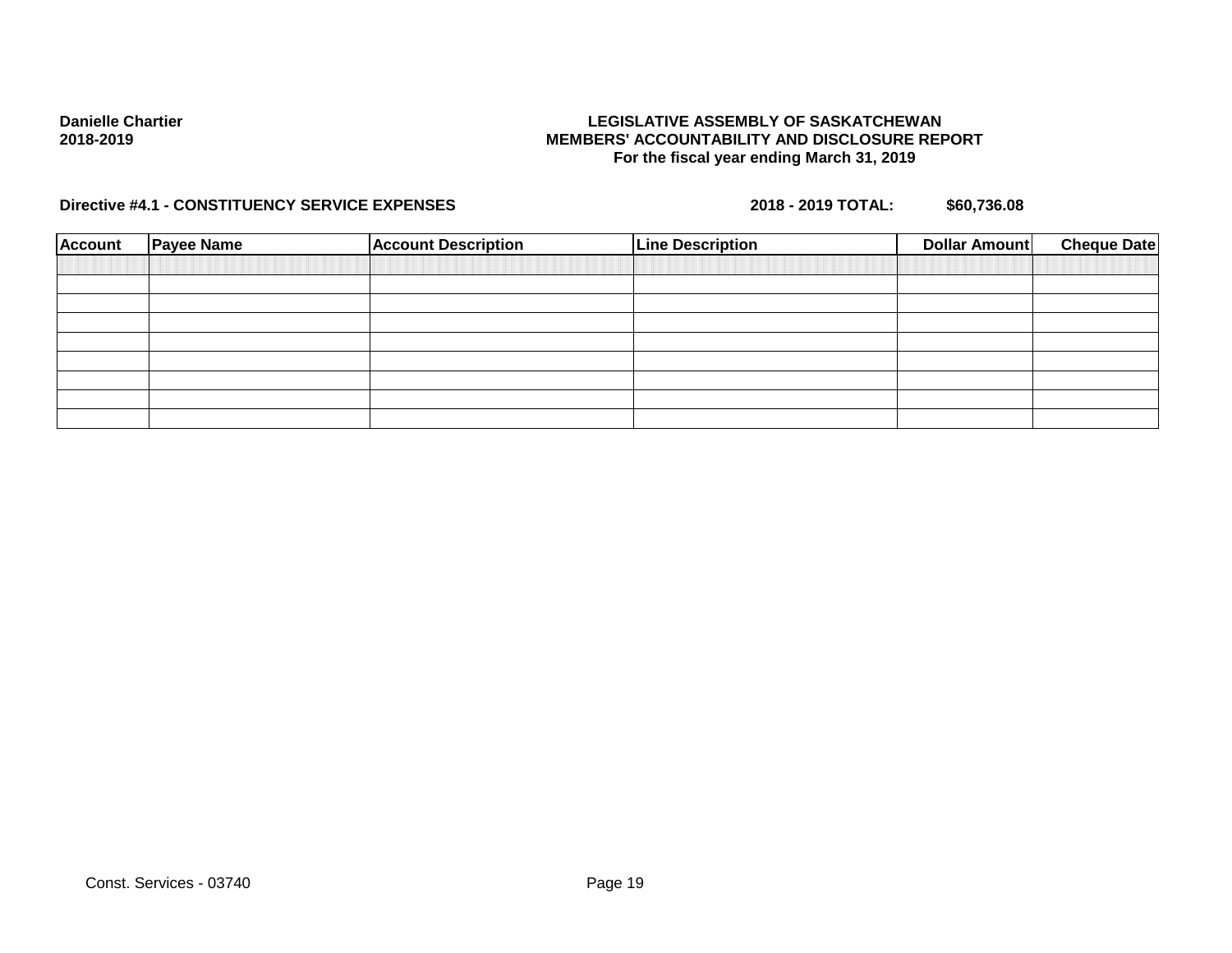## **LEGISLATIVE ASSEMBLY OF SASKATCHEWAN MEMBERS' ACCOUNTABILITY AND DISCLOSURE REPORT For the fiscal year ending March 31, 2019**

| <b>Account</b> | <b>Payee Name</b> | <b>Account Description</b> | <b>Line Description</b> | <b>Cheque Date</b><br>Dollar Amount |
|----------------|-------------------|----------------------------|-------------------------|-------------------------------------|
|                |                   |                            |                         |                                     |
|                |                   |                            |                         |                                     |
|                |                   |                            |                         |                                     |
|                |                   |                            |                         |                                     |
|                |                   |                            |                         |                                     |
|                |                   |                            |                         |                                     |
|                |                   |                            |                         |                                     |
|                |                   |                            |                         |                                     |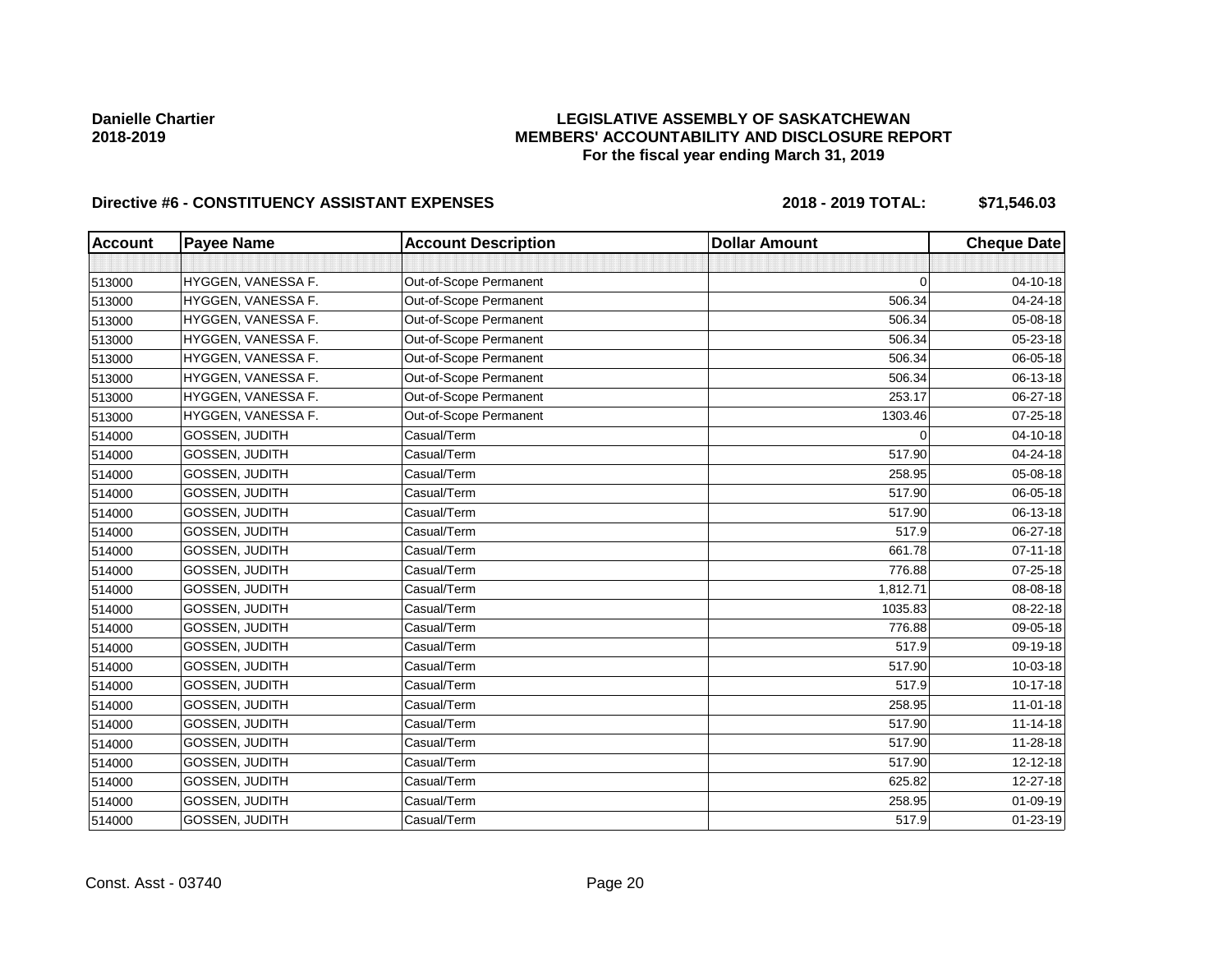## **LEGISLATIVE ASSEMBLY OF SASKATCHEWAN MEMBERS' ACCOUNTABILITY AND DISCLOSURE REPORT For the fiscal year ending March 31, 2019**

| <b>Account</b> | <b>Payee Name</b>     | <b>Account Description</b> | <b>Dollar Amount</b> | <b>Cheque Date</b> |
|----------------|-----------------------|----------------------------|----------------------|--------------------|
|                |                       |                            |                      |                    |
| 513000         | HYGGEN, VANESSA F.    | Out-of-Scope Permanent     | $\Omega$             | $04 - 10 - 18$     |
| 513000         | HYGGEN, VANESSA F.    | Out-of-Scope Permanent     | 506.34               | 04-24-18           |
| 513000         | HYGGEN, VANESSA F.    | Out-of-Scope Permanent     | 506.34               | 05-08-18           |
| 513000         | HYGGEN, VANESSA F.    | Out-of-Scope Permanent     | 506.34               | 05-23-18           |
| 513000         | HYGGEN, VANESSA F.    | Out-of-Scope Permanent     | 506.34               | 06-05-18           |
| 513000         | HYGGEN, VANESSA F.    | Out-of-Scope Permanent     | 506.34               | 06-13-18           |
| 513000         | HYGGEN, VANESSA F.    | Out-of-Scope Permanent     | 253.17               | 06-27-18           |
| 513000         | HYGGEN, VANESSA F.    | Out-of-Scope Permanent     | 1303.46              | $07 - 25 - 18$     |
| 514000         | GOSSEN, JUDITH        | Casual/Term                | $\Omega$             | 04-10-18           |
| 514000         | GOSSEN, JUDITH        | Casual/Term                | 517.90               | 04-24-18           |
| 514000         | GOSSEN, JUDITH        | Casual/Term                | 258.95               | 05-08-18           |
| 514000         | <b>GOSSEN, JUDITH</b> | Casual/Term                | 517.90               | 06-05-18           |
| 514000         | GOSSEN, JUDITH        | Casual/Term                | 517.90               | 06-13-18           |
| 514000         | GOSSEN, JUDITH        | Casual/Term                | 517.9                | 06-27-18           |
| 514000         | GOSSEN, JUDITH        | Casual/Term                | 661.78               | $07 - 11 - 18$     |
| 514000         | <b>GOSSEN, JUDITH</b> | Casual/Term                | 776.88               | 07-25-18           |
| 514000         | GOSSEN, JUDITH        | Casual/Term                | 1,812.71             | 08-08-18           |
| 514000         | GOSSEN, JUDITH        | Casual/Term                | 1035.83              | 08-22-18           |
| 514000         | GOSSEN, JUDITH        | Casual/Term                | 776.88               | 09-05-18           |
| 514000         | <b>GOSSEN, JUDITH</b> | Casual/Term                | 517.9                | 09-19-18           |
| 514000         | <b>GOSSEN, JUDITH</b> | Casual/Term                | 517.90               | 10-03-18           |
| 514000         | GOSSEN, JUDITH        | Casual/Term                | 517.9                | 10-17-18           |
| 514000         | GOSSEN, JUDITH        | Casual/Term                | 258.95               | 11-01-18           |
| 514000         | GOSSEN, JUDITH        | Casual/Term                | 517.90               | $11 - 14 - 18$     |
| 514000         | GOSSEN, JUDITH        | Casual/Term                | 517.90               | 11-28-18           |
| 514000         | GOSSEN, JUDITH        | Casual/Term                | 517.90               | $12 - 12 - 18$     |
| 514000         | <b>GOSSEN, JUDITH</b> | Casual/Term                | 625.82               | 12-27-18           |
| 514000         | GOSSEN, JUDITH        | Casual/Term                | 258.95               | 01-09-19           |
| 514000         | <b>GOSSEN, JUDITH</b> | Casual/Term                | 517.9                | 01-23-19           |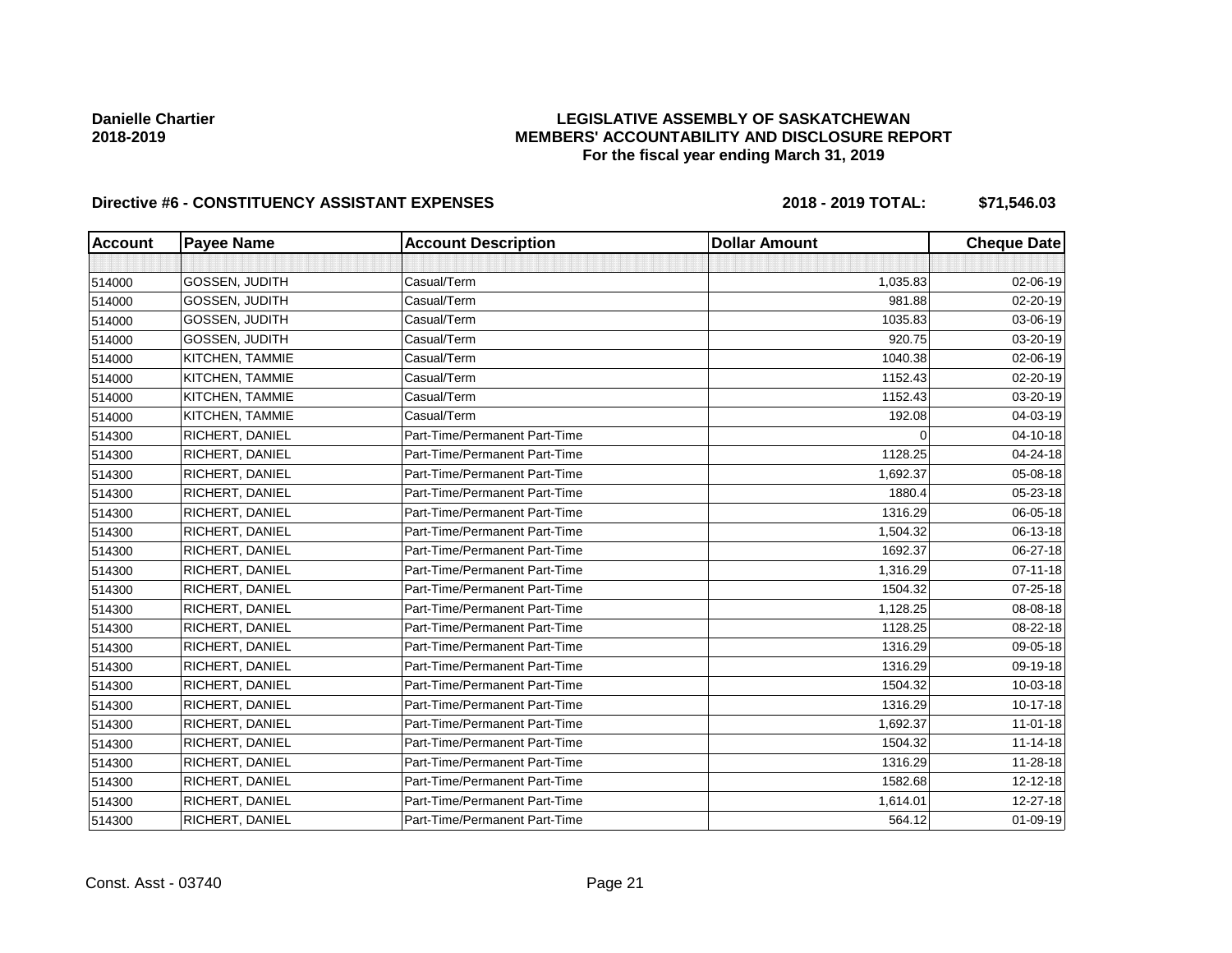## **LEGISLATIVE ASSEMBLY OF SASKATCHEWAN MEMBERS' ACCOUNTABILITY AND DISCLOSURE REPORT For the fiscal year ending March 31, 2019**

| <b>Account</b> | <b>Payee Name</b>     | <b>Account Description</b>    | <b>Dollar Amount</b> | <b>Cheque Date</b> |
|----------------|-----------------------|-------------------------------|----------------------|--------------------|
|                |                       |                               |                      |                    |
| 514000         | GOSSEN, JUDITH        | Casual/Term                   | 1,035.83             | 02-06-19           |
| 514000         | GOSSEN, JUDITH        | Casual/Term                   | 981.88               | 02-20-19           |
| 514000         | <b>GOSSEN, JUDITH</b> | Casual/Term                   | 1035.83              | 03-06-19           |
| 514000         | GOSSEN, JUDITH        | Casual/Term                   | 920.75               | 03-20-19           |
| 514000         | KITCHEN, TAMMIE       | Casual/Term                   | 1040.38              | 02-06-19           |
| 514000         | KITCHEN, TAMMIE       | Casual/Term                   | 1152.43              | 02-20-19           |
| 514000         | KITCHEN, TAMMIE       | Casual/Term                   | 1152.43              | 03-20-19           |
| 514000         | KITCHEN, TAMMIE       | Casual/Term                   | 192.08               | 04-03-19           |
| 514300         | RICHERT, DANIEL       | Part-Time/Permanent Part-Time | $\Omega$             | $04 - 10 - 18$     |
| 514300         | RICHERT, DANIEL       | Part-Time/Permanent Part-Time | 1128.25              | 04-24-18           |
| 514300         | RICHERT, DANIEL       | Part-Time/Permanent Part-Time | 1,692.37             | 05-08-18           |
| 514300         | RICHERT, DANIEL       | Part-Time/Permanent Part-Time | 1880.4               | 05-23-18           |
| 514300         | RICHERT, DANIEL       | Part-Time/Permanent Part-Time | 1316.29              | 06-05-18           |
| 514300         | RICHERT, DANIEL       | Part-Time/Permanent Part-Time | 1,504.32             | 06-13-18           |
| 514300         | RICHERT, DANIEL       | Part-Time/Permanent Part-Time | 1692.37              | 06-27-18           |
| 514300         | RICHERT, DANIEL       | Part-Time/Permanent Part-Time | 1,316.29             | $07 - 11 - 18$     |
| 514300         | RICHERT, DANIEL       | Part-Time/Permanent Part-Time | 1504.32              | 07-25-18           |
| 514300         | RICHERT, DANIEL       | Part-Time/Permanent Part-Time | 1,128.25             | 08-08-18           |
| 514300         | RICHERT, DANIEL       | Part-Time/Permanent Part-Time | 1128.25              | 08-22-18           |
| 514300         | RICHERT, DANIEL       | Part-Time/Permanent Part-Time | 1316.29              | 09-05-18           |
| 514300         | RICHERT, DANIEL       | Part-Time/Permanent Part-Time | 1316.29              | 09-19-18           |
| 514300         | RICHERT, DANIEL       | Part-Time/Permanent Part-Time | 1504.32              | $10 - 03 - 18$     |
| 514300         | RICHERT, DANIEL       | Part-Time/Permanent Part-Time | 1316.29              | 10-17-18           |
| 514300         | RICHERT, DANIEL       | Part-Time/Permanent Part-Time | 1,692.37             | $11 - 01 - 18$     |
| 514300         | RICHERT, DANIEL       | Part-Time/Permanent Part-Time | 1504.32              | $11 - 14 - 18$     |
| 514300         | RICHERT, DANIEL       | Part-Time/Permanent Part-Time | 1316.29              | 11-28-18           |
| 514300         | RICHERT, DANIEL       | Part-Time/Permanent Part-Time | 1582.68              | 12-12-18           |
| 514300         | RICHERT, DANIEL       | Part-Time/Permanent Part-Time | 1,614.01             | 12-27-18           |
| 514300         | RICHERT, DANIEL       | Part-Time/Permanent Part-Time | 564.12               | $01 - 09 - 19$     |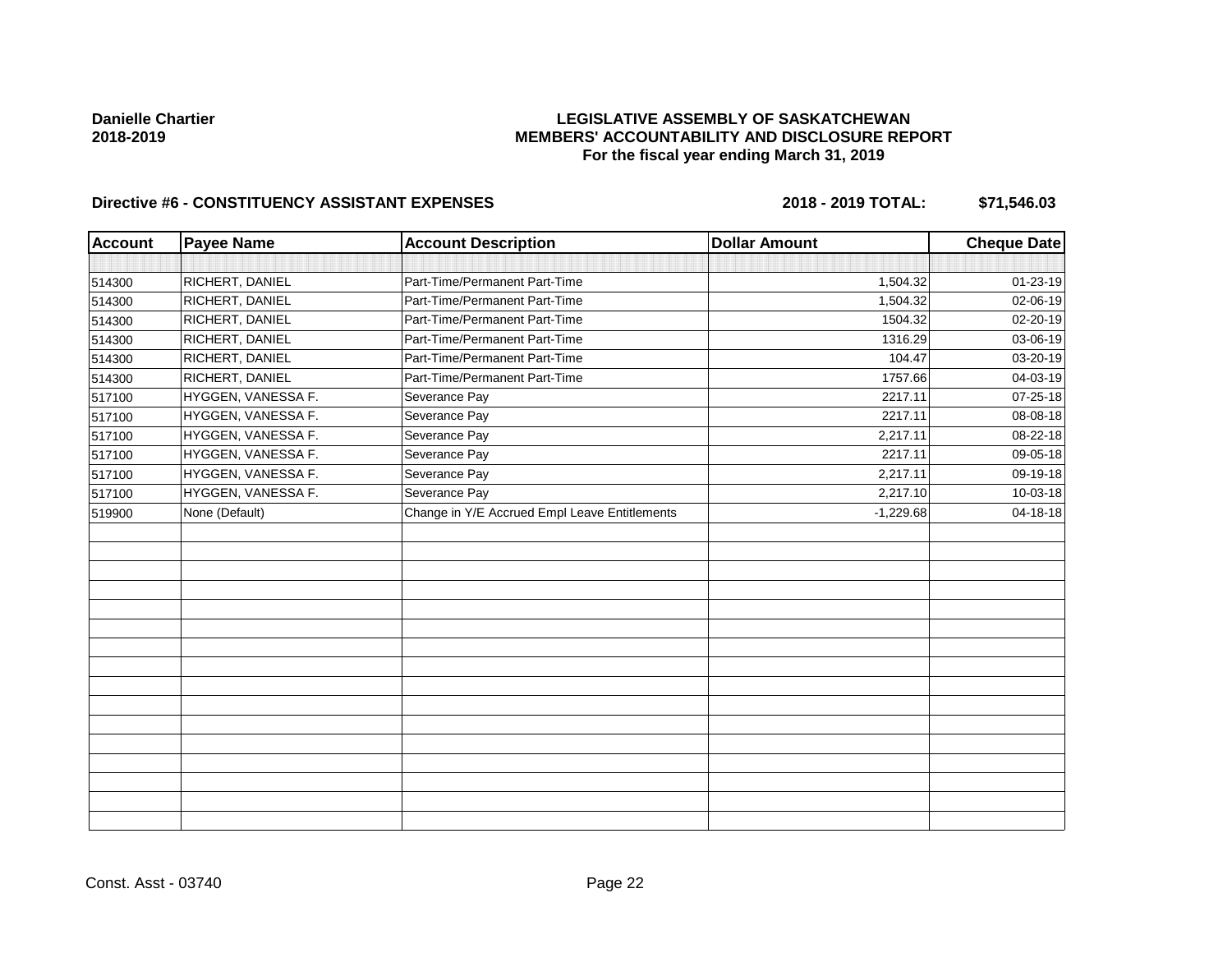## **LEGISLATIVE ASSEMBLY OF SASKATCHEWAN MEMBERS' ACCOUNTABILITY AND DISCLOSURE REPORT For the fiscal year ending March 31, 2019**

| <b>Account</b> | <b>Payee Name</b>  | <b>Account Description</b>                    | <b>Dollar Amount</b> | <b>Cheque Date</b> |
|----------------|--------------------|-----------------------------------------------|----------------------|--------------------|
|                |                    |                                               |                      |                    |
| 514300         | RICHERT, DANIEL    | Part-Time/Permanent Part-Time                 | 1,504.32             | 01-23-19           |
| 514300         | RICHERT, DANIEL    | Part-Time/Permanent Part-Time                 | 1,504.32             | 02-06-19           |
| 514300         | RICHERT, DANIEL    | Part-Time/Permanent Part-Time                 | 1504.32              | 02-20-19           |
| 514300         | RICHERT, DANIEL    | Part-Time/Permanent Part-Time                 | 1316.29              | 03-06-19           |
| 514300         | RICHERT, DANIEL    | Part-Time/Permanent Part-Time                 | 104.47               | 03-20-19           |
| 514300         | RICHERT, DANIEL    | Part-Time/Permanent Part-Time                 | 1757.66              | 04-03-19           |
| 517100         | HYGGEN, VANESSA F. | Severance Pay                                 | 2217.11              | 07-25-18           |
| 517100         | HYGGEN, VANESSA F. | Severance Pay                                 | 2217.11              | 08-08-18           |
| 517100         | HYGGEN, VANESSA F. | Severance Pay                                 | 2,217.11             | 08-22-18           |
| 517100         | HYGGEN, VANESSA F. | Severance Pay                                 | 2217.11              | 09-05-18           |
| 517100         | HYGGEN, VANESSA F. | Severance Pay                                 | 2,217.11             | 09-19-18           |
| 517100         | HYGGEN, VANESSA F. | Severance Pay                                 | 2,217.10             | 10-03-18           |
| 519900         | None (Default)     | Change in Y/E Accrued Empl Leave Entitlements | $-1,229.68$          | 04-18-18           |
|                |                    |                                               |                      |                    |
|                |                    |                                               |                      |                    |
|                |                    |                                               |                      |                    |
|                |                    |                                               |                      |                    |
|                |                    |                                               |                      |                    |
|                |                    |                                               |                      |                    |
|                |                    |                                               |                      |                    |
|                |                    |                                               |                      |                    |
|                |                    |                                               |                      |                    |
|                |                    |                                               |                      |                    |
|                |                    |                                               |                      |                    |
|                |                    |                                               |                      |                    |
|                |                    |                                               |                      |                    |
|                |                    |                                               |                      |                    |
|                |                    |                                               |                      |                    |
|                |                    |                                               |                      |                    |